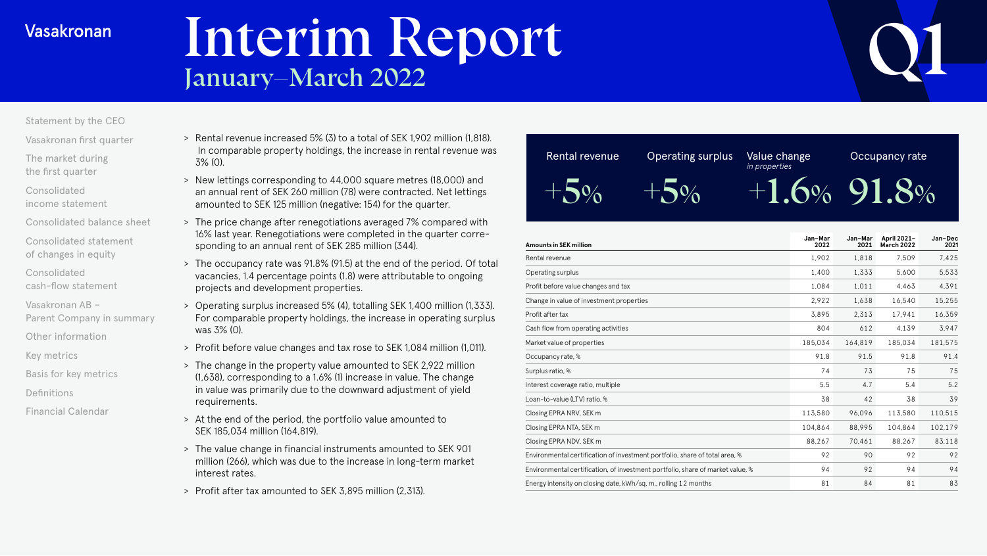# Interim Report<br>January–March 2022

### [Statement by the CEO](#page-1-0)

[Vasakronan first quarter](#page-3-0)

[The market during](#page-4-0)  the first quarter

Consolidated [income statement](#page-6-0)

[Consolidated balance sheet](#page-11-0)

[Consolidated statement](#page-16-0)  of changes in equity

- Consolidated [cash-flow statement](#page-17-0)
- Vasakronan AB [Parent Company in summary](#page-20-0)
- [Other information](#page-21-0)
- [Key metrics](#page-22-0)
- [Basis for key metrics](#page-23-0)
- [Definitions](#page-24-0)
- [Financial Calendar](#page-25-0)
- > Rental revenue increased 5% (3) to a total of SEK 1,902 million (1,818). In comparable property holdings, the increase in rental revenue was 3% (0).
- > New lettings corresponding to 44,000 square metres (18,000) and an annual rent of SEK 260 million (78) were contracted. Net lettings amounted to SEK 125 million (negative: 154) for the quarter.
- > The price change after renegotiations averaged 7% compared with 16% last year. Renegotiations were completed in the quarter corresponding to an annual rent of SEK 285 million (344).
- > The occupancy rate was 91.8% (91.5) at the end of the period. Of total vacancies, 1.4 percentage points (1.8) were attributable to ongoing projects and development properties.
- > Operating surplus increased 5% (4), totalling SEK 1,400 million (1,333). For comparable property holdings, the increase in operating surplus was 3% (0).
- > Profit before value changes and tax rose to SEK 1,084 million (1,011).
- > The change in the property value amounted to SEK 2,922 million (1,638), corresponding to a 1.6% (1) increase in value. The change in value was primarily due to the downward adjustment of yield requirements.
- > At the end of the period, the portfolio value amounted to SEK 185,034 million (164,819).
- > The value change in financial instruments amounted to SEK 901 million (266), which was due to the increase in long-term market interest rates.
- > Profit after tax amounted to SEK 3,895 million (2,313).



| Amounts in SEK million                                                         | Jan-Mar<br>2022 | Jan-Mar<br>2021 | April 2021-<br>March 2022 | Jan-Dec<br>2021 |
|--------------------------------------------------------------------------------|-----------------|-----------------|---------------------------|-----------------|
| Rental revenue                                                                 | 1,902           | 1,818           | 7,509                     | 7,425           |
| Operating surplus                                                              | 1,400           | 1,333           | 5,600                     | 5,533           |
| Profit before value changes and tax                                            | 1.084           | 1.011           | 4.463                     | 4.391           |
| Change in value of investment properties                                       | 2.922           | 1,638           | 16,540                    | 15,255          |
| Profit after tax                                                               | 3.895           | 2,313           | 17.941                    | 16,359          |
| Cash flow from operating activities                                            | 804             | 612             | 4,139                     | 3,947           |
| Market value of properties                                                     | 185,034         | 164,819         | 185,034                   | 181,575         |
| Occupancy rate, %                                                              | 91.8            | 91.5            | 91.8                      | 91.4            |
| Surplus ratio, %                                                               | 74              | 73              | 75                        | 75              |
| Interest coverage ratio, multiple                                              | 5.5             | 4.7             | 5.4                       | 5.2             |
| Loan-to-value (LTV) ratio, %                                                   | 38              | 42              | 38                        | 39              |
| Closing EPRA NRV, SEK m                                                        | 113,580         | 96.096          | 113,580                   | 110.515         |
| Closing EPRA NTA, SEK m                                                        | 104,864         | 88,995          | 104,864                   | 102,179         |
| Closing EPRA NDV, SEK m                                                        | 88,267          | 70,461          | 88,267                    | 83,118          |
| Environmental certification of investment portfolio, share of total area, %    | 92              | 90              | 92                        | 92              |
| Environmental certification, of investment portfolio, share of market value, % | 94              | 92              | 94                        | 94              |
| Energy intensity on closing date, kWh/sq. m., rolling 12 months                | 81              | 84              | 81                        | 83              |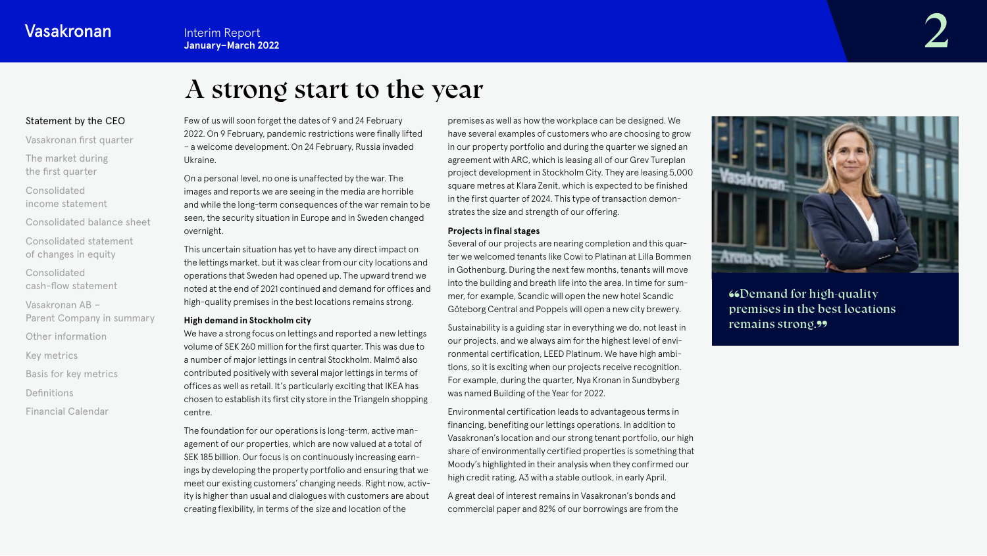# A strong start to the year

## <span id="page-1-0"></span>Statement by the CEO

[Vasakronan first quarter](#page-3-0)

[The market during](#page-4-0) the first quarter

Consolidated [income statement](#page-6-0)

[Consolidated balance sheet](#page-11-0)

[Consolidated statement](#page-16-0)  of changes in equity

Consolidated [cash-flow statement](#page-17-0)

Vasakronan AB – [Parent Company in summary](#page-20-0)

[Other information](#page-21-0)

[Key metrics](#page-22-0)

[Basis for key metrics](#page-23-0)

[Definitions](#page-24-0)

[Financial Calendar](#page-25-0)

Few of us will soon forget the dates of 9 and 24 February 2022. On 9 February, pandemic restrictions were finally lifted – a welcome development. On 24 February, Russia invaded Ukraine.

On a personal level, no one is unaffected by the war. The images and reports we are seeing in the media are horrible and while the long-term consequences of the war remain to be seen, the security situation in Europe and in Sweden changed overnight.

This uncertain situation has yet to have any direct impact on the lettings market, but it was clear from our city locations and operations that Sweden had opened up. The upward trend we noted at the end of 2021 continued and demand for offices and high-quality premises in the best locations remains strong.

#### **High demand in Stockholm city**

We have a strong focus on lettings and reported a new lettings volume of SEK 260 million for the first quarter. This was due to a number of major lettings in central Stockholm. Malmö also contributed positively with several major lettings in terms of offices as well as retail. It's particularly exciting that IKEA has chosen to establish its first city store in the Triangeln shopping centre.

The foundation for our operations is long-term, active management of our properties, which are now valued at a total of SEK 185 billion. Our focus is on continuously increasing earnings by developing the property portfolio and ensuring that we meet our existing customers' changing needs. Right now, activity is higher than usual and dialogues with customers are about creating flexibility, in terms of the size and location of the

premises as well as how the workplace can be designed. We have several examples of customers who are choosing to grow in our property portfolio and during the quarter we signed an agreement with ARC, which is leasing all of our Grev Tureplan project development in Stockholm City. They are leasing 5,000 square metres at Klara Zenit, which is expected to be finished in the first quarter of 2024. This type of transaction demonstrates the size and strength of our offering.

#### **Projects in final stages**

Several of our projects are nearing completion and this quarter we welcomed tenants like Cowi to Platinan at Lilla Bommen in Gothenburg. During the next few months, tenants will move into the building and breath life into the area. In time for summer, for example, Scandic will open the new hotel Scandic Göteborg Central and Poppels will open a new city brewery.

Sustainability is a guiding star in everything we do, not least in our projects, and we always aim for the highest level of environmental certification, LEED Platinum. We have high ambitions, so it is exciting when our projects receive recognition. For example, during the quarter, Nya Kronan in Sundbyberg was named Building of the Year for 2022.

Environmental certification leads to advantageous terms in financing, benefiting our lettings operations. In addition to Vasakronan's location and our strong tenant portfolio, our high share of environmentally certified properties is something that Moody's highlighted in their analysis when they confirmed our high credit rating, A3 with a stable outlook, in early April.

A great deal of interest remains in Vasakronan's bonds and commercial paper and 82% of our borrowings are from the



**"GDemand for high-quality"** premises in the best locations remains strong.99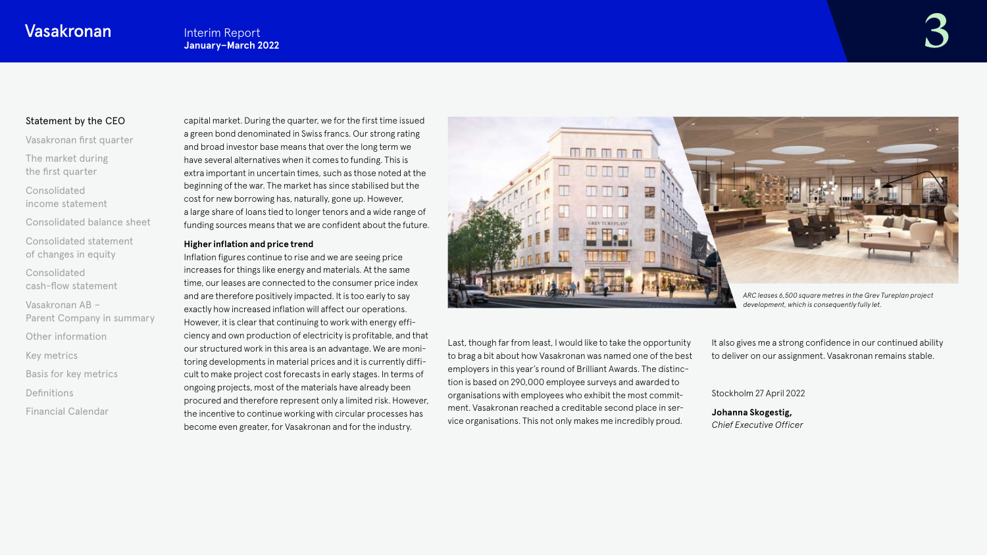### [Statement by the CEO](#page-1-0)

[Vasakronan first quarter](#page-3-0)

[The market during](#page-4-0) the first quarter

Consolidated [income statement](#page-6-0)

[Consolidated balance sheet](#page-11-0)

[Consolidated statement](#page-16-0)  of changes in equity

Consolidated [cash-flow statement](#page-17-0)

Vasakronan AB – [Parent Company in summary](#page-20-0)

[Other information](#page-21-0)

[Key metrics](#page-22-0)

[Basis for key metrics](#page-23-0)

[Definitions](#page-24-0)

[Financial Calendar](#page-25-0)

capital market. During the quarter, we for the first time issued a green bond denominated in Swiss francs. Our strong rating and broad investor base means that over the long term we have several alternatives when it comes to funding. This is extra important in uncertain times, such as those noted at the beginning of the war. The market has since stabilised but the cost for new borrowing has, naturally, gone up. However, a large share of loans tied to longer tenors and a wide range of funding sources means that we are confident about the future.

#### **Higher inflation and price trend**

Inflation figures continue to rise and we are seeing price increases for things like energy and materials. At the same time, our leases are connected to the consumer price index and are therefore positively impacted. It is too early to say exactly how increased inflation will affect our operations. However, it is clear that continuing to work with energy efficiency and own production of electricity is profitable, and that our structured work in this area is an advantage. We are monitoring developments in material prices and it is currently difficult to make project cost forecasts in early stages. In terms of ongoing projects, most of the materials have already been procured and therefore represent only a limited risk. However, the incentive to continue working with circular processes has become even greater, for Vasakronan and for the industry.



Last, though far from least, I would like to take the opportunity to brag a bit about how Vasakronan was named one of the best employers in this year's round of Brilliant Awards. The distinction is based on 290,000 employee surveys and awarded to organisations with employees who exhibit the most commitment. Vasakronan reached a creditable second place in service organisations. This not only makes me incredibly proud.

It also gives me a strong confidence in our continued ability to deliver on our assignment. Vasakronan remains stable.

Stockholm 27 April 2022

**Johanna Skogestig,**  *Chief Executive Officer*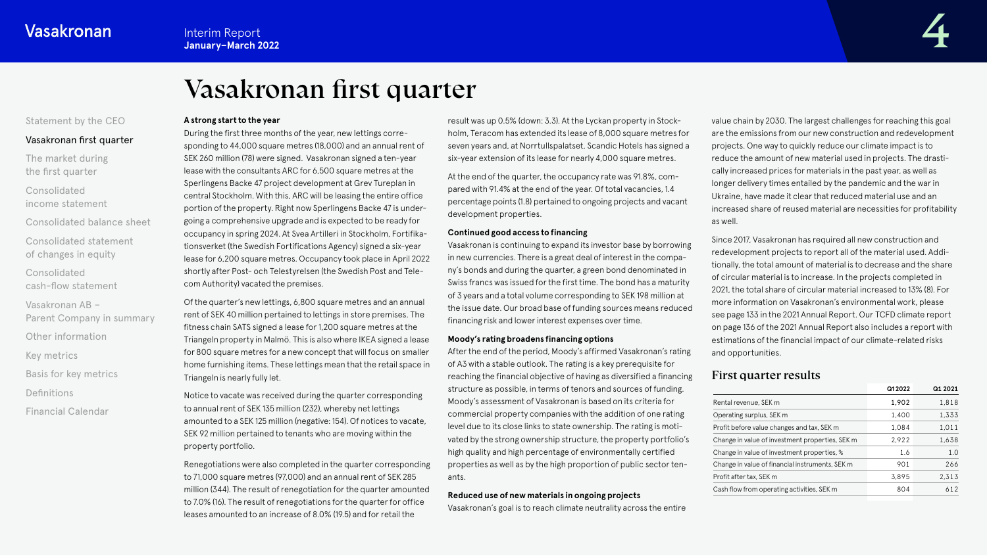# Vasakronan first quarter

#### <span id="page-3-0"></span>[Statement by the CEO](#page-1-0)

### Vasakronan first quarter

[The market during](#page-4-0) the first quarter

Consolidated [income statement](#page-6-0)

[Consolidated balance sheet](#page-11-0)

[Consolidated statement](#page-16-0)  of changes in equity

Consolidated [cash-flow statement](#page-17-0)

Vasakronan AB – [Parent Company in summary](#page-20-0)

[Other information](#page-21-0)

[Key metrics](#page-22-0)

[Basis for key metrics](#page-23-0)

**[Definitions](#page-24-0)** 

[Financial Calendar](#page-25-0)

#### **A strong start to the year**

During the first three months of the year, new lettings corresponding to 44,000 square metres (18,000) and an annual rent of SEK 260 million (78) were signed. Vasakronan signed a ten-year lease with the consultants ARC for 6,500 square metres at the Sperlingens Backe 47 project development at Grev Tureplan in central Stockholm. With this, ARC will be leasing the entire office portion of the property. Right now Sperlingens Backe 47 is undergoing a comprehensive upgrade and is expected to be ready for occupancy in spring 2024. At Svea Artilleri in Stockholm, Fortifikationsverket (the Swedish Fortifications Agency) signed a six-year lease for 6,200 square metres. Occupancy took place in April 2022 shortly after Post- och Telestyrelsen (the Swedish Post and Telecom Authority) vacated the premises.

Of the quarter's new lettings, 6,800 square metres and an annual rent of SEK 40 million pertained to lettings in store premises. The fitness chain SATS signed a lease for 1,200 square metres at the Triangeln property in Malmö. This is also where IKEA signed a lease for 800 square metres for a new concept that will focus on smaller home furnishing items. These lettings mean that the retail space in Triangeln is nearly fully let.

Notice to vacate was received during the quarter corresponding to annual rent of SEK 135 million (232), whereby net lettings amounted to a SEK 125 million (negative: 154). Of notices to vacate, SEK 92 million pertained to tenants who are moving within the property portfolio.

Renegotiations were also completed in the quarter corresponding to 71,000 square metres (97,000) and an annual rent of SEK 285 million (344). The result of renegotiation for the quarter amounted to 7.0% (16). The result of renegotiations for the quarter for office leases amounted to an increase of 8.0% (19.5) and for retail the

result was up 0.5% (down: 3.3). At the Lyckan property in Stockholm, Teracom has extended its lease of 8,000 square metres for seven years and, at Norrtullspalatset, Scandic Hotels has signed a six-year extension of its lease for nearly 4,000 square metres.

At the end of the quarter, the occupancy rate was 91.8%, compared with 91.4% at the end of the year. Of total vacancies, 1.4 percentage points (1.8) pertained to ongoing projects and vacant development properties.

#### **Continued good access to financing**

Vasakronan is continuing to expand its investor base by borrowing in new currencies. There is a great deal of interest in the company's bonds and during the quarter, a green bond denominated in Swiss francs was issued for the first time. The bond has a maturity of 3 years and a total volume corresponding to SEK 198 million at the issue date. Our broad base of funding sources means reduced financing risk and lower interest expenses over time.

#### **Moody's rating broadens financing options**

After the end of the period, Moody's affirmed Vasakronan's rating of A3 with a stable outlook. The rating is a key prerequisite for reaching the financial objective of having as diversified a financing structure as possible, in terms of tenors and sources of funding. Moody's assessment of Vasakronan is based on its criteria for commercial property companies with the addition of one rating level due to its close links to state ownership. The rating is motivated by the strong ownership structure, the property portfolio's high quality and high percentage of environmentally certified properties as well as by the high proportion of public sector tenants.

#### **Reduced use of new materials in ongoing projects**

Vasakronan's goal is to reach climate neutrality across the entire

value chain by 2030. The largest challenges for reaching this goal are the emissions from our new construction and redevelopment projects. One way to quickly reduce our climate impact is to reduce the amount of new material used in projects. The drastically increased prices for materials in the past year, as well as longer delivery times entailed by the pandemic and the war in Ukraine, have made it clear that reduced material use and an increased share of reused material are necessities for profitability as well.

Since 2017, Vasakronan has required all new construction and redevelopment projects to report all of the material used. Additionally, the total amount of material is to decrease and the share of circular material is to increase. In the projects completed in 2021, the total share of circular material increased to 13% (8). For more information on Vasakronan's environmental work, please see page 133 in the 2021 Annual Report. Our TCFD climate report on page 136 of the 2021 Annual Report also includes a report with estimations of the financial impact of our climate-related risks and opportunities.

# First quarter results

|                                                 | Q12022 | Q1 2021 |
|-------------------------------------------------|--------|---------|
| Rental revenue, SEK m                           | 1,902  | 1,818   |
| Operating surplus, SEK m                        | 1,400  | 1,333   |
| Profit before value changes and tax, SEK m      | 1.084  | 1,011   |
| Change in value of investment properties, SEK m | 2,922  | 1,638   |
| Change in value of investment properties, %     | 1.6    | 1.0     |
| Change in value of financial instruments, SEK m | 901    | 266     |
| Profit after tax, SEK m                         | 3.895  | 2,313   |
| Cash flow from operating activities, SEK m      | 804    | 612     |
|                                                 |        |         |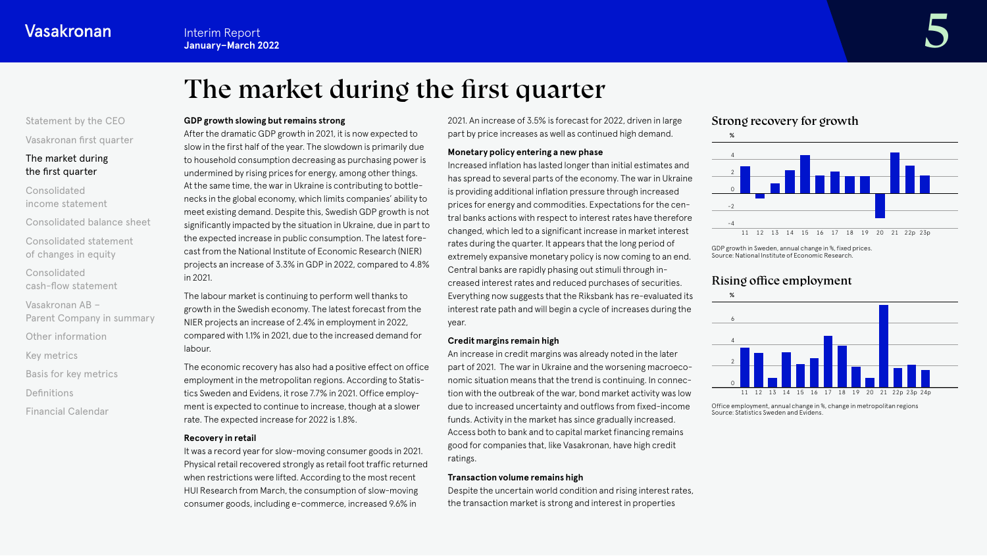# The market during the first quarter

# <span id="page-4-0"></span>[Statement by the CEO](#page-1-0)

[Vasakronan first quarter](#page-3-0)

### The market during the first quarter

Consolidated [income statement](#page-6-0)

[Consolidated balance sheet](#page-11-0)

[Consolidated statement](#page-16-0)  of changes in equity

Consolidated [cash-flow statement](#page-17-0)

Vasakronan AB – [Parent Company in summary](#page-20-0)

[Other information](#page-21-0)

[Key metrics](#page-22-0)

[Basis for key metrics](#page-23-0)

[Definitions](#page-24-0)

[Financial Calendar](#page-25-0)

### **GDP growth slowing but remains strong**

After the dramatic GDP growth in 2021, it is now expected to slow in the first half of the year. The slowdown is primarily due to household consumption decreasing as purchasing power is undermined by rising prices for energy, among other things. At the same time, the war in Ukraine is contributing to bottlenecks in the global economy, which limits companies' ability to meet existing demand. Despite this, Swedish GDP growth is not significantly impacted by the situation in Ukraine, due in part to the expected increase in public consumption. The latest forecast from the National Institute of Economic Research (NIER) projects an increase of 3.3% in GDP in 2022, compared to 4.8% in 2021.

The labour market is continuing to perform well thanks to growth in the Swedish economy. The latest forecast from the NIER projects an increase of 2.4% in employment in 2022, compared with 1.1% in 2021, due to the increased demand for labour.

The economic recovery has also had a positive effect on office employment in the metropolitan regions. According to Statistics Sweden and Evidens, it rose 7.7% in 2021. Office employment is expected to continue to increase, though at a slower rate. The expected increase for 2022 is 1.8%.

#### **Recovery in retail**

It was a record year for slow-moving consumer goods in 2021. Physical retail recovered strongly as retail foot traffic returned when restrictions were lifted. According to the most recent HUI Research from March, the consumption of slow-moving consumer goods, including e-commerce, increased 9.6% in

2021. An increase of 3.5% is forecast for 2022, driven in large part by price increases as well as continued high demand.

### **Monetary policy entering a new phase**

Increased inflation has lasted longer than initial estimates and has spread to several parts of the economy. The war in Ukraine is providing additional inflation pressure through increased prices for energy and commodities. Expectations for the central banks actions with respect to interest rates have therefore changed, which led to a significant increase in market interest rates during the quarter. It appears that the long period of extremely expansive monetary policy is now coming to an end. Central banks are rapidly phasing out stimuli through in creased interest rates and reduced purchases of securities. Everything now suggests that the Riksbank has re-evaluated its interest rate path and will begin a cycle of increases during the year.

#### **Credit margins remain high**

An increase in credit margins was already noted in the later part of 2021. The war in Ukraine and the worsening macroeconomic situation means that the trend is continuing. In connection with the outbreak of the war, bond market activity was low due to increased uncertainty and outflows from fixed-income funds. Activity in the market has since gradually increased. Access both to bank and to capital market financing remains good for companies that, like Vasakronan, have high credit ratings.

#### **Transaction volume remains high**

Despite the uncertain world condition and rising interest rates, the transaction market is strong and interest in properties





GDP growth in Sweden, annual change in %, fixed prices. Source: National Institute of Economic Research.

# Rising office employment



Office employment, annual change in %, change in metropolitan regions Source: Statistics Sweden and Evidens.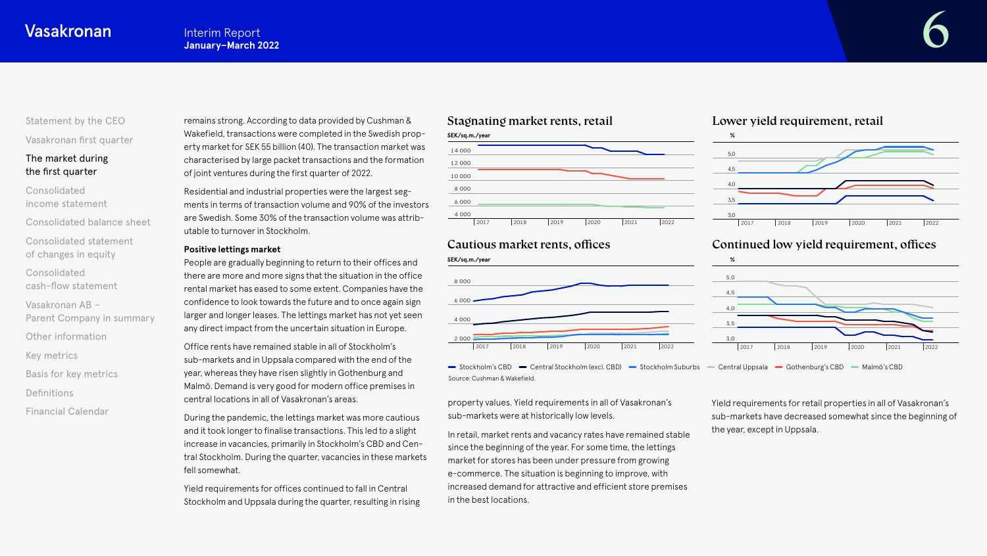# [Statement by the CEO](#page-1-0)

[Vasakronan first quarter](#page-3-0)

### [The market during](#page-4-0) the first quarter

Consolidated [income statement](#page-6-0)

[Consolidated balance sheet](#page-11-0)

[Consolidated statement](#page-16-0)  of changes in equity

Consolidated [cash-flow statement](#page-17-0)

Vasakronan AB – [Parent Company in summary](#page-20-0)

[Other information](#page-21-0)

[Key metrics](#page-22-0)

[Basis for key metrics](#page-23-0)

[Definitions](#page-24-0)

[Financial Calendar](#page-25-0)

# remains strong. According to data provided by Cushman & Wakefield, transactions were completed in the Swedish property market for SEK 55 billion (40). The transaction market was characterised by large packet transactions and the formation of joint ventures during the first quarter of 2022.

Residential and industrial properties were the largest segments in terms of transaction volume and 90% of the investors are Swedish. Some 30% of the transaction volume was attributable to turnover in Stockholm.

#### **Positive lettings market**

People are gradually beginning to return to their offices and there are more and more signs that the situation in the office rental market has eased to some extent. Companies have the confidence to look towards the future and to once again sign larger and longer leases. The lettings market has not yet seen any direct impact from the uncertain situation in Europe.

Office rents have remained stable in all of Stockholm's sub-markets and in Uppsala compared with the end of the year, whereas they have risen slightly in Gothenburg and Malmö. Demand is very good for modern office premises in central locations in all of Vasakronan's areas.

During the pandemic, the lettings market was more cautious and it took longer to finalise transactions. This led to a slight increase in vacancies, primarily in Stockholm's CBD and Central Stockholm. During the quarter, vacancies in these markets fell somewhat.

Yield requirements for offices continued to fall in Central Stockholm and Uppsala during the quarter, resulting in rising

# Stagnating market rents, retail



# Cautious market rents, offices



- Stockholm's CBD - Central Stockholm (excl. CBD) - Stockholm Suburbs - Central Uppsala - Gothenburg's CBD - Malmö's CBD Source: Cushman & Wakefield.

property values. Yield requirements in all of Vasakronan's sub-markets were at historically low levels.

In retail, market rents and vacancy rates have remained stable since the beginning of the year. For some time, the lettings market for stores has been under pressure from growing e-commerce. The situation is beginning to improve, with increased demand for attractive and efficient store premises in the best locations.

# Lower yield requirement, retail



# Continued low yield requirement, offices



Yield requirements for retail properties in all of Vasakronan's sub-markets have decreased somewhat since the beginning of the year, except in Uppsala.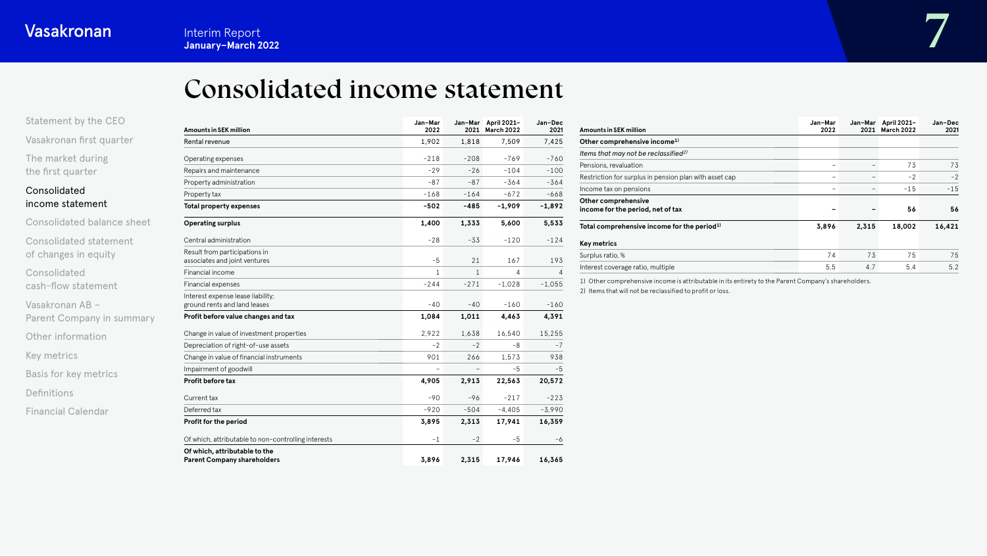# Consolidated income statement

<span id="page-6-0"></span>

| Statement by the CEO     |  |
|--------------------------|--|
| Vasakronan first quarter |  |

[The market during](#page-4-0) the first quarter

# Consolidated income statement

[Consolidated statement](#page-16-0)  of changes in equity

Consolidated [cash-flow statement](#page-17-0)

Vasakronan AB – [Parent Company in summary](#page-20-0)

[Other information](#page-21-0)

[Key metrics](#page-22-0)

[Basis for key metrics](#page-23-0)

[Definitions](#page-24-0)

[Financial Calendar](#page-25-0)

| <b>Amounts in SEK million</b>                                       | Jan-Mar<br>2022 |                          | Jan-Mar April 2021-<br>2021 March 2022 | Jan-Dec<br>2021 |
|---------------------------------------------------------------------|-----------------|--------------------------|----------------------------------------|-----------------|
| Rental revenue                                                      | 1.902           | 1.818                    | 7.509                                  | 7.425           |
| Operating expenses                                                  | $-218$          | $-208$                   | $-769$                                 | $-760$          |
| Repairs and maintenance                                             | $-29$           | $-26$                    | $-104$                                 | $-100$          |
| Property administration                                             | $-87$           | $-87$                    | $-364$                                 | $-364$          |
| Property tax                                                        | $-168$          | $-164$                   | $-672$                                 | $-668$          |
| Total property expenses                                             | $-502$          | -485                     | $-1,909$                               | $-1,892$        |
| <b>Operating surplus</b>                                            | 1,400           | 1,333                    | 5,600                                  | 5,533           |
| Central administration                                              | $-28$           | $-33$                    | $-120$                                 | $-124$          |
| Result from participations in<br>associates and joint ventures      | $-5$            | 21                       | 167                                    | 193             |
| Financial income                                                    | $\mathbf{1}$    | $\mathbf{1}$             | 4                                      | 4               |
| Financial expenses                                                  | $-244$          | $-271$                   | $-1,028$                               | $-1,055$        |
| Interest expense lease liability;<br>ground rents and land leases   | $-40$           | $-40$                    | $-160$                                 | $-160$          |
| Profit before value changes and tax                                 | 1,084           | 1,011                    | 4,463                                  | 4,391           |
| Change in value of investment properties                            | 2.922           | 1,638                    | 16,540                                 | 15.255          |
| Depreciation of right-of-use assets                                 | $-2$            | $-2$                     | -8                                     | $-7$            |
| Change in value of financial instruments                            | 901             | 266                      | 1,573                                  | 938             |
| Impairment of goodwill                                              | $\overline{a}$  | $\overline{\phantom{0}}$ | -5                                     | -5              |
| Profit before tax                                                   | 4,905           | 2,913                    | 22,563                                 | 20,572          |
| Current tax                                                         | $-90$           | $-96$                    | $-217$                                 | $-223$          |
| Deferred tax                                                        | $-920$          | $-504$                   | $-4,405$                               | $-3,990$        |
| Profit for the period                                               | 3,895           | 2,313                    | 17,941                                 | 16,359          |
| Of which, attributable to non-controlling interests                 | $-1$            | $-2$                     | $-5$                                   | -6              |
| Of which, attributable to the<br><b>Parent Company shareholders</b> | 3.896           | 2.315                    | 17.946                                 | 16,365          |

| <b>Amounts in SEK million</b>                            | Jan-Mar<br>2022 | Jan-Mar<br>2021 | April 2021-<br>March 2022 | Jan-Dec<br>2021 |
|----------------------------------------------------------|-----------------|-----------------|---------------------------|-----------------|
| Other comprehensive income <sup>1)</sup>                 |                 |                 |                           |                 |
| Items that may not be reclassified <sup>2)</sup>         |                 |                 |                           |                 |
| Pensions, revaluation                                    |                 |                 | 73                        | 73              |
| Restriction for surplus in pension plan with asset cap   |                 |                 | $-2$                      | $-2$            |
| Income tax on pensions                                   |                 | -               | $-15$                     | $-15$           |
| Other comprehensive<br>income for the period, net of tax |                 |                 | 56                        | 56              |
| Total comprehensive income for the period <sup>1)</sup>  | 3,896           | 2,315           | 18,002                    | 16,421          |
| Key metrics                                              |                 |                 |                           |                 |
| Surplus ratio, %                                         | 74              | 73              | 75                        | 75              |
| Interest coverage ratio, multiple                        | 5.5             | 4.7             | 5.4                       | 5.2             |

1) Other comprehensive income is attributable in its entirety to the Parent Company's shareholders.

2) Items that will not be reclassified to profit or loss.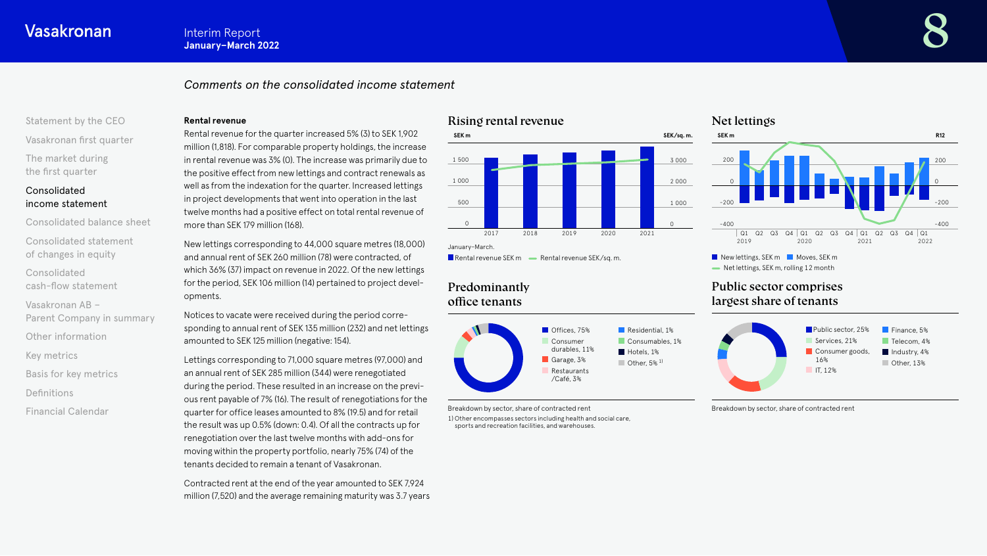# *Comments on the consolidated income statement*

# [Statement by the CEO](#page-1-0) [Vasakronan first quarter](#page-3-0)

[The market during](#page-4-0) the first quarter

# Consolidated [income statement](#page-6-0)

[Consolidated balance sheet](#page-11-0)

[Consolidated statement](#page-16-0)  of changes in equity

Consolidated

[cash-flow statement](#page-17-0)

Vasakronan AB – [Parent Company in summary](#page-20-0)

[Other information](#page-21-0)

[Key metrics](#page-22-0)

[Basis for key metrics](#page-23-0)

[Definitions](#page-24-0)

[Financial Calendar](#page-25-0)

#### **Rental revenue**

Rental revenue for the quarter increased 5% (3) to SEK 1,902 million (1,818). For comparable property holdings, the increase in rental revenue was 3% (0). The increase was primarily due to the positive effect from new lettings and contract renewals as well as from the indexation for the quarter. Increased lettings in project developments that went into operation in the last twelve months had a positive effect on total rental revenue of more than SEK 179 million (168).

New lettings corresponding to 44,000 square metres (18,000) and annual rent of SEK 260 million (78) were contracted, of which 36% (37) impact on revenue in 2022. Of the new lettings for the period, SEK 106 million (14) pertained to project developments.

Notices to vacate were received during the period corresponding to annual rent of SEK 135 million (232) and net lettings amounted to SEK 125 million (negative: 154).

Lettings corresponding to 71,000 square metres (97,000) and an annual rent of SEK 285 million (344) were renegotiated during the period. These resulted in an increase on the previous rent payable of 7% (16). The result of renegotiations for the quarter for office leases amounted to 8% (19.5) and for retail the result was up 0.5% (down: 0.4). Of all the contracts up for renegotiation over the last twelve months with add-ons for moving within the property portfolio, nearly 75% (74) of the tenants decided to remain a tenant of Vasakronan.

Contracted rent at the end of the year amounted to SEK 7,924 million (7,520) and the average remaining maturity was 3.7 years

# Rising rental revenue



**Rental revenue SEK m**  $\longrightarrow$  **Rental revenue SEK/sq. m.** 

# Predominantly office tenants



Breakdown by sector, share of contracted rent

1) Other encompasses sectors including health and social care, sports and recreation facilities, and warehouses.

# Net lettings



Net lettings, SEK m, rolling 12 month

# Public sector comprises largest share of tenants



Breakdown by sector, share of contracted rent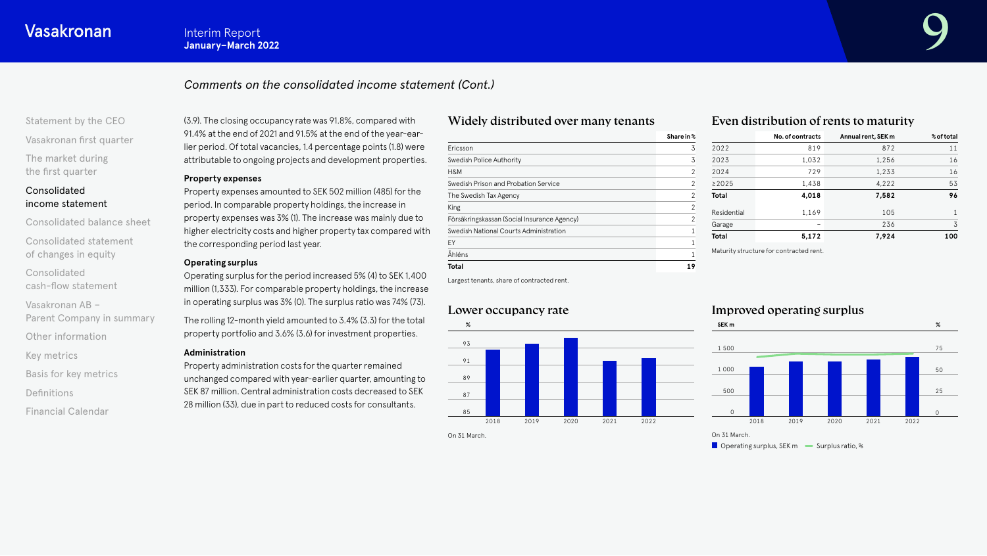# *Comments on the consolidated income statement (Cont.)*

[Statement by the CEO](#page-1-0)

[Vasakronan first quarter](#page-3-0)

[The market during](#page-4-0) the first quarter

### Consolidated [income statement](#page-6-0)

[Consolidated balance sheet](#page-11-0)

[Consolidated statement](#page-16-0)  of changes in equity

Consolidated [cash-flow statement](#page-17-0)

Vasakronan AB – [Parent Company in summary](#page-20-0)

[Other information](#page-21-0)

[Key metrics](#page-22-0)

[Basis for key metrics](#page-23-0)

[Definitions](#page-24-0)

[Financial Calendar](#page-25-0)

(3.9). The closing occupancy rate was 91.8%, compared with 91.4% at the end of 2021 and 91.5% at the end of the year-earlier period. Of total vacancies, 1.4 percentage points (1.8) were attributable to ongoing projects and development properties.

#### **Property expenses**

Property expenses amounted to SEK 502 million (485) for the period. In comparable property holdings, the increase in property expenses was 3% (1). The increase was mainly due to higher electricity costs and higher property tax compared with the corresponding period last year.

#### **Operating surplus**

Operating surplus for the period increased 5% (4) to SEK 1,400 million (1,333). For comparable property holdings, the increase in operating surplus was 3% (0). The surplus ratio was 74% (73).

The rolling 12-month yield amounted to 3.4% (3.3) for the total property portfolio and 3.6% (3.6) for investment properties.

#### **Administration**

Property administration costs for the quarter remained unchanged compared with year-earlier quarter, amounting to SEK 87 million. Central administration costs decreased to SEK 28 million (33), due in part to reduced costs for consultants.

# Widely distributed over many tenants

|                                             | Share in %     |
|---------------------------------------------|----------------|
| Ericsson                                    | 3              |
| Swedish Police Authority                    | 3              |
| H&M                                         | 2              |
| Swedish Prison and Probation Service        | 2              |
| The Swedish Tax Agency                      | 2              |
| King                                        | $\mathfrak{p}$ |
| Försäkringskassan (Social Insurance Agency) | $\mathfrak{p}$ |
| Swedish National Courts Administration      | 1              |
| EY                                          |                |
| Åhléns                                      |                |
| <b>Total</b>                                | 19             |
|                                             |                |

# Even distribution of rents to maturity

|     | Share in %     |              | No. of contracts                        | Annual rent, SEK m | % of total |
|-----|----------------|--------------|-----------------------------------------|--------------------|------------|
|     | 3              | 2022         | 819                                     | 872                | 11         |
|     | 3              | 2023         | 1,032                                   | 1,256              | 16         |
|     | $\mathfrak{p}$ | 2024         | 729                                     | 1,233              | 16         |
|     | 2              | ≥2025        | 1,438                                   | 4,222              | 53         |
|     | $\mathcal{P}$  | <b>Total</b> | 4,018                                   | 7,582              | 96         |
|     | 2              | Residential  | 1.169                                   | 105                | 1          |
| cy) | 2              | Garage       |                                         | 236                | 3          |
|     |                | <b>Total</b> | 5,172                                   | 7,924              | 100        |
|     |                |              | Maturity structure for contracted rent. |                    |            |

Largest tenants, share of contracted rent.

# Lower occupancy rate



# Improved operating surplus



 $\Box$  Operating surplus, SEK m  $\Box$  Surplus ratio, %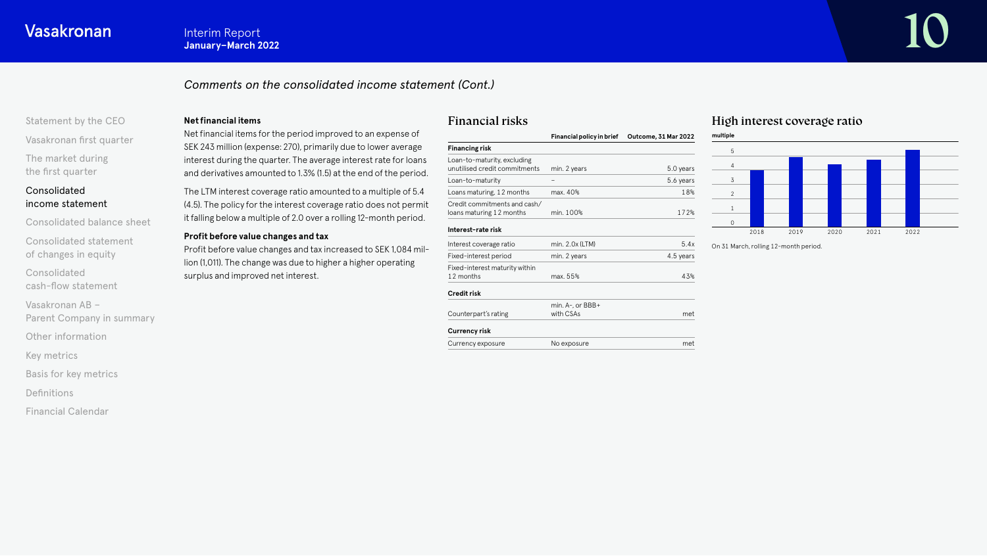# *Comments on the consolidated income statement (Cont.)*

# [Statement by the CEO](#page-1-0)

[Vasakronan first quarter](#page-3-0)

[The market during](#page-4-0) the first quarter

### Consolidated [income statement](#page-6-0)

[Consolidated balance sheet](#page-11-0)

[Consolidated statement](#page-16-0)  of changes in equity

Consolidated [cash-flow statement](#page-17-0)

Vasakronan AB – [Parent Company in summary](#page-20-0)

[Other information](#page-21-0)

[Key metrics](#page-22-0)

[Basis for key metrics](#page-23-0)

[Definitions](#page-24-0)

[Financial Calendar](#page-25-0)

#### **Net financial items**

Net financial items for the period improved to an expense of SEK 243 million (expense: 270), primarily due to lower average interest during the quarter. The average interest rate for loans and derivatives amounted to 1.3% (1.5) at the end of the period.

The LTM interest coverage ratio amounted to a multiple of 5.4 (4.5). The policy for the interest coverage ratio does not permit it falling below a multiple of 2.0 over a rolling 12-month period.

#### **Profit before value changes and tax**

Profit before value changes and tax increased to SEK 1,084 million (1,011). The change was due to higher a higher operating surplus and improved net interest.

#### **Credit risk**

Financial risks

Loan-to-maturity, excluding

Credit commitments and cash/

Fixed-interest maturity within

**Financing risk**

**Interest-rate risk**

| UI CUILTION          |                       |     |
|----------------------|-----------------------|-----|
|                      | min. $A-$ , or $BBB+$ |     |
| Counterpart's rating | with CSAs             | met |
| Currency risk        |                       |     |
| Currency exposure    | No exposure           | met |

unutilised credit commitments min. 2 years 5.0 years 5.0 years Loan-to-maturity – Figure – 5.6 years Loans maturing, 12 months max. 40% 18% 18%

loans maturing 12 months min. 100% 172%

Interest coverage ratio min. 2.0x (LTM) 5.4x Fixed-interest period min. 2 years 4.5 years 4.5 years

12 months max. 55% 43%

**Financial policy in brief Outcome, 31 Mar 2022**

# High interest coverage ratio



On 31 March, rolling 12-month period.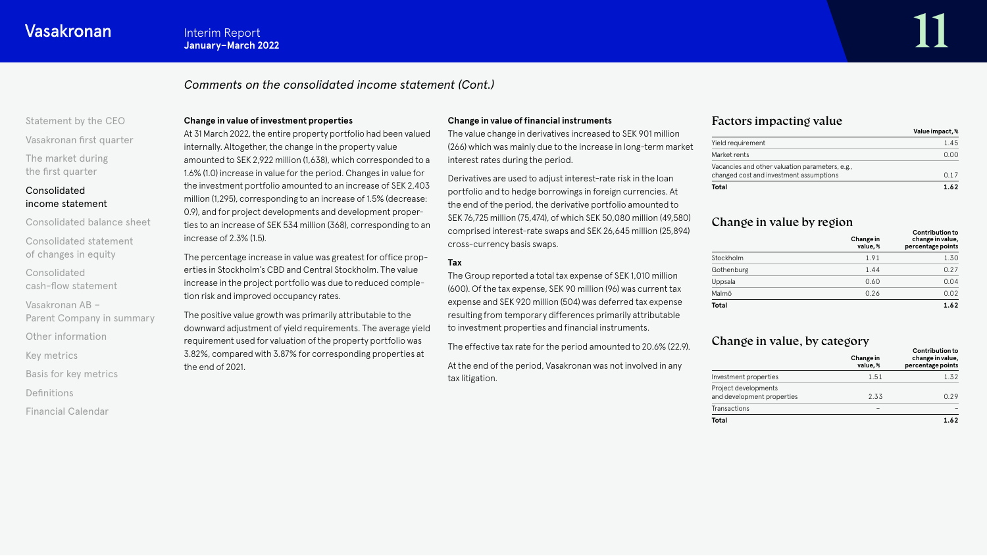# *Comments on the consolidated income statement (Cont.)*

# [Statement by the CEO](#page-1-0) [Vasakronan first quarter](#page-3-0)

[The market during](#page-4-0) the first quarter

# Consolidated [income statement](#page-6-0)

[Consolidated balance sheet](#page-11-0)

[Consolidated statement](#page-16-0)  of changes in equity

Consolidated [cash-flow statement](#page-17-0)

Vasakronan AB – [Parent Company in summary](#page-20-0)

[Other information](#page-21-0)

[Key metrics](#page-22-0)

[Basis for key metrics](#page-23-0)

[Definitions](#page-24-0)

[Financial Calendar](#page-25-0)

#### **Change in value of investment properties**

At 31 March 2022, the entire property portfolio had been valued internally. Altogether, the change in the property value amounted to SEK 2,922 million (1,638), which corresponded to a 1.6% (1.0) increase in value for the period. Changes in value for the investment portfolio amounted to an increase of SEK 2,403 million (1,295), corresponding to an increase of 1.5% (decrease: 0.9), and for project developments and development properties to an increase of SEK 534 million (368), corresponding to an increase of 2.3% (1.5).

The percentage increase in value was greatest for office properties in Stockholm's CBD and Central Stockholm. The value increase in the project portfolio was due to reduced completion risk and improved occupancy rates.

The positive value growth was primarily attributable to the downward adjustment of yield requirements. The average yield requirement used for valuation of the property portfolio was 3.82%, compared with 3.87% for corresponding properties at the end of 2021.

#### **Change in value of financial instruments**

The value change in derivatives increased to SEK 901 million (266) which was mainly due to the increase in long-term market interest rates during the period.

Derivatives are used to adjust interest-rate risk in the loan portfolio and to hedge borrowings in foreign currencies. At the end of the period, the derivative portfolio amounted to SEK 76,725 million (75,474), of which SEK 50,080 million (49,580) comprised interest-rate swaps and SEK 26,645 million (25,894) cross-currency basis swaps.

### **Tax**

The Group reported a total tax expense of SEK 1,010 million (600). Of the tax expense, SEK 90 million (96) was current tax expense and SEK 920 million (504) was deferred tax expense resulting from temporary differences primarily attributable to investment properties and financial instruments.

The effective tax rate for the period amounted to 20.6% (22.9).

At the end of the period, Vasakronan was not involved in any tax litigation.

## Factors impacting value

|                                                                                            | Value impact, % |
|--------------------------------------------------------------------------------------------|-----------------|
| Yield requirement                                                                          | 1.45            |
| Market rents                                                                               | 0.00            |
| Vacancies and other valuation parameters, e.g.,<br>changed cost and investment assumptions | O 17            |
| Total                                                                                      | 1.62            |

# Change in value by region

|              | Change in<br>value,% | <b>Contribution to</b><br>change in value,<br>percentage points |
|--------------|----------------------|-----------------------------------------------------------------|
| Stockholm    | 1.91                 | 1.30                                                            |
| Gothenburg   | 1.44                 | 0.27                                                            |
| Uppsala      | 0.60                 | 0.04                                                            |
| Malmö        | 0.26                 | 0.02                                                            |
| <b>Total</b> |                      | 1.62                                                            |

# Change in value, by category

|                                                    | Change in<br>value.%     | <b>Contribution to</b><br>change in value,<br>percentage points |
|----------------------------------------------------|--------------------------|-----------------------------------------------------------------|
| Investment properties                              | 1.51                     | 1.32                                                            |
| Project developments<br>and development properties | 2.33                     | 0.29                                                            |
| Transactions                                       | $\overline{\phantom{a}}$ |                                                                 |
| <b>Total</b>                                       |                          | 1.62                                                            |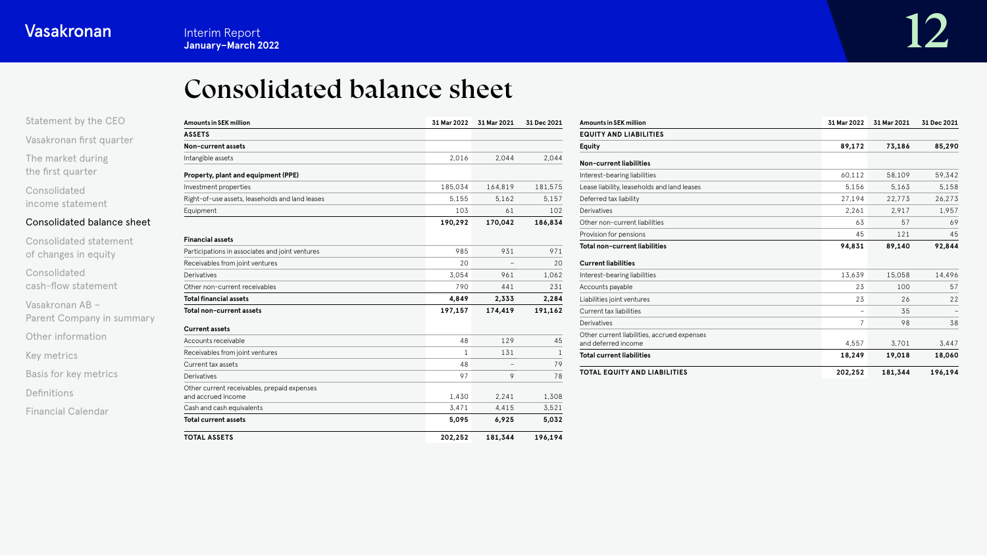<span id="page-11-0"></span>[Statement by the CEO](#page-1-0)

# Consolidated balance sheet

| Statement by the CEO       | <b>Amounts in SEK million</b>                                     | 31 Mar 2022 | 31 Mar 2021 | 31 Dec 2021 |
|----------------------------|-------------------------------------------------------------------|-------------|-------------|-------------|
| Vasakronan first quarter   | <b>ASSETS</b>                                                     |             |             |             |
|                            | Non-current assets                                                |             |             |             |
| The market during          | Intangible assets                                                 | 2.016       | 2.044       | 2.044       |
| the first quarter          | Property, plant and equipment (PPE)                               |             |             |             |
| Consolidated               | Investment properties                                             | 185.034     | 164,819     | 181.575     |
| income statement           | Right-of-use assets, leaseholds and land leases                   | 5.155       | 5.162       | 5,157       |
|                            | Equipment                                                         | 103         | 61          | 102         |
| Consolidated balance sheet |                                                                   | 190,292     | 170,042     | 186,834     |
| Consolidated statement     | <b>Financial assets</b>                                           |             |             |             |
| of changes in equity       | Participations in associates and joint ventures                   | 985         | 931         | 971         |
|                            | Receivables from joint ventures                                   | 20          |             | 20          |
| Consolidated               | Derivatives                                                       | 3.054       | 961         | 1.062       |
| cash-flow statement        | Other non-current receivables                                     | 790         | 441         | 231         |
| Vasakronan AB -            | <b>Total financial assets</b>                                     | 4,849       | 2,333       | 2,284       |
| Parent Company in summary  | Total non-current assets                                          | 197,157     | 174,419     | 191,162     |
|                            | <b>Current assets</b>                                             |             |             |             |
| Other information          | Accounts receivable                                               | 48          | 129         | 45          |
| Key metrics                | Receivables from joint ventures                                   | 1           | 131         | 1           |
|                            | Current tax assets                                                | 48          |             | 79          |
| Basis for key metrics      | Derivatives                                                       | 97          | 9           | 78          |
| Definitions                | Other current receivables, prepaid expenses<br>and accrued income | 1,430       | 2.241       | 1,308       |
| <b>Financial Calendar</b>  | Cash and cash equivalents                                         | 3.471       | 4,415       | 3.521       |
|                            | <b>Total current assets</b>                                       | 5,095       | 6,925       | 5,032       |
|                            | <b>TOTAL ASSETS</b>                                               | 202,252     | 181,344     | 196,194     |

| <b>Amounts in SEK million</b>                                      | 31 Mar 2022 | 31 Mar 2021 | 31 Dec 2021 |
|--------------------------------------------------------------------|-------------|-------------|-------------|
| <b>EQUITY AND LIABILITIES</b>                                      |             |             |             |
| <b>Equity</b>                                                      | 89,172      | 73.186      | 85,290      |
| Non-current liabilities                                            |             |             |             |
| Interest-bearing liabilities                                       | 60.112      | 58,109      | 59,342      |
| Lease liability, leaseholds and land leases                        | 5,156       | 5,163       | 5,158       |
| Deferred tax liability                                             | 27,194      | 22.773      | 26,273      |
| Derivatives                                                        | 2.261       | 2.917       | 1.957       |
| Other non-current liabilities                                      | 63          | 57          | 69          |
| Provision for pensions                                             | 45          | 121         | 45          |
| <b>Total non-current liabilities</b>                               | 94,831      | 89,140      | 92,844      |
| <b>Current liabilities</b>                                         |             |             |             |
| Interest-bearing liabilities                                       | 13.639      | 15,058      | 14,496      |
| Accounts payable                                                   | 23          | 100         | 57          |
| Liabilities joint ventures                                         | 23          | 26          | 22          |
| Current tax liabilities                                            |             | 35          |             |
| Derivatives                                                        | 7           | 98          | 38          |
| Other current liabilities, accrued expenses<br>and deferred income | 4.557       | 3.701       | 3,447       |
| <b>Total current liabilities</b>                                   | 18,249      | 19,018      | 18,060      |
| <b>TOTAL EQUITY AND LIABILITIES</b>                                | 202,252     | 181,344     | 196,194     |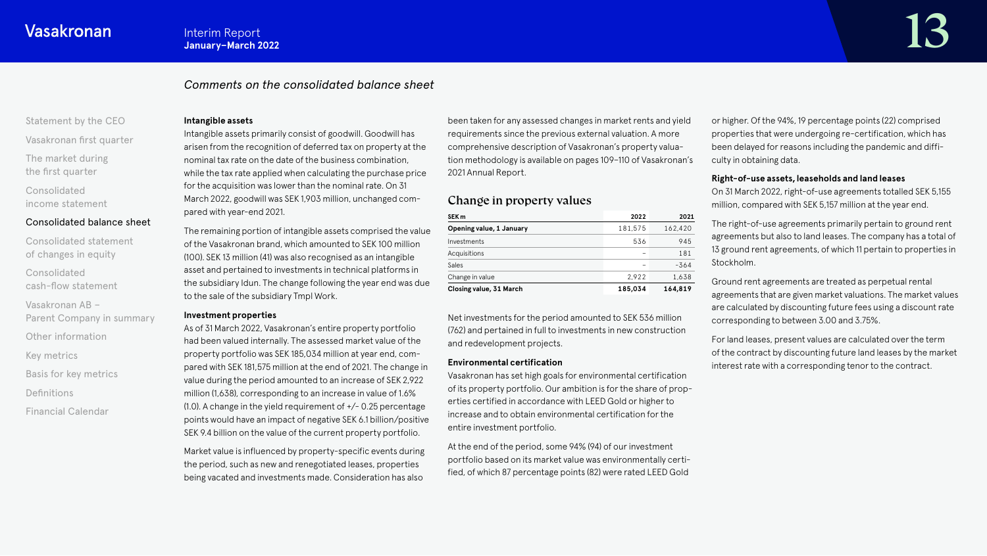# *Comments on the consolidated balance sheet*

# [Statement by the CEO](#page-1-0)

[Vasakronan first quarter](#page-3-0)

[The market during](#page-4-0) the first quarter

Consolidated [income statement](#page-6-0)

### [Consolidated balance sheet](#page-11-0)

[Consolidated statement](#page-16-0)  of changes in equity

Consolidated [cash-flow statement](#page-17-0)

Vasakronan AB – [Parent Company in summary](#page-20-0)

[Other information](#page-21-0)

[Key metrics](#page-22-0)

[Basis for key metrics](#page-23-0)

[Definitions](#page-24-0)

[Financial Calendar](#page-25-0)

#### **Intangible assets**

Intangible assets primarily consist of goodwill. Goodwill has arisen from the recognition of deferred tax on property at the nominal tax rate on the date of the business combination, while the tax rate applied when calculating the purchase price for the acquisition was lower than the nominal rate. On 31 March 2022, goodwill was SEK 1,903 million, unchanged compared with year-end 2021.

The remaining portion of intangible assets comprised the value of the Vasakronan brand, which amounted to SEK 100 million (100). SEK 13 million (41) was also recognised as an intangible asset and pertained to investments in technical platforms in the subsidiary Idun. The change following the year end was due to the sale of the subsidiary Tmpl Work.

#### **Investment properties**

As of 31 March 2022, Vasakronan's entire property portfolio had been valued internally. The assessed market value of the property portfolio was SEK 185,034 million at year end, compared with SEK 181,575 million at the end of 2021. The change in value during the period amounted to an increase of SEK 2,922 million (1,638), corresponding to an increase in value of 1.6%  $(1.0)$ . A change in the yield requirement of  $+/- 0.25$  percentage points would have an impact of negative SEK 6.1 billion/positive SEK 9.4 billion on the value of the current property portfolio.

Market value is influenced by property-specific events during the period, such as new and renegotiated leases, properties being vacated and investments made. Consideration has also

been taken for any assessed changes in market rents and yield requirements since the previous external valuation. A more comprehensive description of Vasakronan's property valuation methodology is available on pages 109–110 of Vasakronan's 2021 Annual Report.

# Change in property values

| SEK m                          | 2022    | 2021    |
|--------------------------------|---------|---------|
| Opening value, 1 January       | 181.575 | 162,420 |
| Investments                    | 536     | 945     |
| Acquisitions                   | -       | 181     |
| Sales                          | -       | $-364$  |
| Change in value                | 2.922   | 1.638   |
| <b>Closing value, 31 March</b> | 185,034 | 164,819 |

Net investments for the period amounted to SEK 536 million (762) and pertained in full to investments in new construction and redevelopment projects.

#### **Environmental certification**

Vasakronan has set high goals for environmental certification of its property portfolio. Our ambition is for the share of properties certified in accordance with LEED Gold or higher to increase and to obtain environmental certification for the entire investment portfolio.

At the end of the period, some 94% (94) of our investment portfolio based on its market value was environmentally certified, of which 87 percentage points (82) were rated LEED Gold

or higher. Of the 94%, 19 percentage points (22) comprised properties that were undergoing re-certification, which has been delayed for reasons including the pandemic and difficulty in obtaining data.

#### **Right-of-use assets, leaseholds and land leases**

On 31 March 2022, right-of-use agreements totalled SEK 5,155 million, compared with SEK 5,157 million at the year end.

The right-of-use agreements primarily pertain to ground rent agreements but also to land leases. The company has a total of 13 ground rent agreements, of which 11 pertain to properties in Stockholm.

Ground rent agreements are treated as perpetual rental agreements that are given market valuations. The market values are calculated by discounting future fees using a discount rate corresponding to between 3.00 and 3.75%.

For land leases, present values are calculated over the term of the contract by discounting future land leases by the market interest rate with a corresponding tenor to the contract.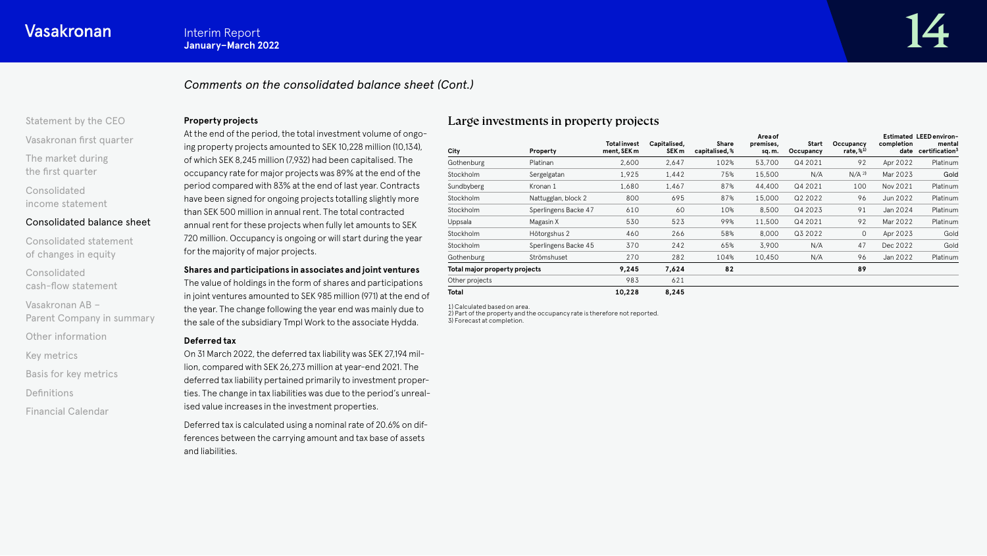# *Comments on the consolidated balance sheet (Cont.)*

# [Statement by the CEO](#page-1-0)

[Vasakronan first quarter](#page-3-0)

[The market during](#page-4-0) the first quarter

Consolidated [income statement](#page-6-0)

#### [Consolidated balance sheet](#page-11-0)

[Consolidated statement](#page-16-0)  of changes in equity

Consolidated [cash-flow statement](#page-17-0)

Vasakronan AB – [Parent Company in summary](#page-20-0)

[Other information](#page-21-0)

[Key metrics](#page-22-0)

[Basis for key metrics](#page-23-0)

[Definitions](#page-24-0)

[Financial Calendar](#page-25-0)

#### **Property projects**

At the end of the period, the total investment volume of ongoing property projects amounted to SEK 10,228 million (10,134), of which SEK 8,245 million (7,932) had been capitalised. The occupancy rate for major projects was 89% at the end of the period compared with 83% at the end of last year. Contracts have been signed for ongoing projects totalling slightly more than SEK 500 million in annual rent. The total contracted annual rent for these projects when fully let amounts to SEK 720 million. Occupancy is ongoing or will start during the year for the majority of major projects.

#### **Shares and participations in associates and joint ventures**

The value of holdings in the form of shares and participations in joint ventures amounted to SEK 985 million (971) at the end of the year. The change following the year end was mainly due to the sale of the subsidiary Tmpl Work to the associate Hydda.

#### **Deferred tax**

On 31 March 2022, the deferred tax liability was SEK 27,194 million, compared with SEK 26,273 million at year-end 2021. The deferred tax liability pertained primarily to investment properties. The change in tax liabilities was due to the period's unrealised value increases in the investment properties.

Deferred tax is calculated using a nominal rate of 20.6% on differences between the carrying amount and tax base of assets and liabilities.

## Large investments in property projects

| City                          | Property             | <b>Total invest</b><br>ment, SEK m | Capitalised,<br>SEK <sub>m</sub> | Share<br>capitalised, % | Area of<br>premises,<br>sq.m. | Start<br>Occupancy | Occupancy<br>rate, % <sup>1)</sup> | completion<br>date | <b>Estimated LEED environ-</b><br>mental<br>certification <sup>3</sup> |
|-------------------------------|----------------------|------------------------------------|----------------------------------|-------------------------|-------------------------------|--------------------|------------------------------------|--------------------|------------------------------------------------------------------------|
| Gothenburg                    | Platinan             | 2,600                              | 2,647                            | 102%                    | 53,700                        | Q4 2021            | 92                                 | Apr 2022           | Platinum                                                               |
| Stockholm                     | Sergelgatan          | 1,925                              | 1,442                            | 75%                     | 15,500                        | N/A                | N/A <sup>2</sup>                   | Mar 2023           | Gold                                                                   |
| Sundbyberg                    | Kronan 1             | 1,680                              | 1,467                            | 87%                     | 44,400                        | Q4 2021            | 100                                | Nov 2021           | Platinum                                                               |
| Stockholm                     | Nattugglan, block 2  | 800                                | 695                              | 87%                     | 15,000                        | Q2 2022            | 96                                 | Jun 2022           | Platinum                                                               |
| Stockholm                     | Sperlingens Backe 47 | 610                                | 60                               | 10%                     | 8,500                         | Q4 2023            | 91                                 | Jan 2024           | Platinum                                                               |
| Uppsala                       | Magasin X            | 530                                | 523                              | 99%                     | 11,500                        | Q4 2021            | 92                                 | Mar 2022           | Platinum                                                               |
| <b>Stockholm</b>              | Hötorgshus 2         | 460                                | 266                              | 58%                     | 8,000                         | Q3 2022            | 0                                  | Apr 2023           | Gold                                                                   |
| Stockholm                     | Sperlingens Backe 45 | 370                                | 242                              | 65%                     | 3,900                         | N/A                | 47                                 | Dec 2022           | Gold                                                                   |
| Gothenburg                    | Strömshuset          | 270                                | 282                              | 104%                    | 10,450                        | N/A                | 96                                 | Jan 2022           | Platinum                                                               |
| Total major property projects |                      | 9,245                              | 7,624                            | 82                      |                               |                    | 89                                 |                    |                                                                        |
| Other projects                |                      | 983                                | 621                              |                         |                               |                    |                                    |                    |                                                                        |
| <b>Total</b>                  |                      | 10,228                             | 8,245                            |                         |                               |                    |                                    |                    |                                                                        |

1) Calculated based on area. 2) Part of the property and the occupancy rate is therefore not reported.

3) Forecast at completion.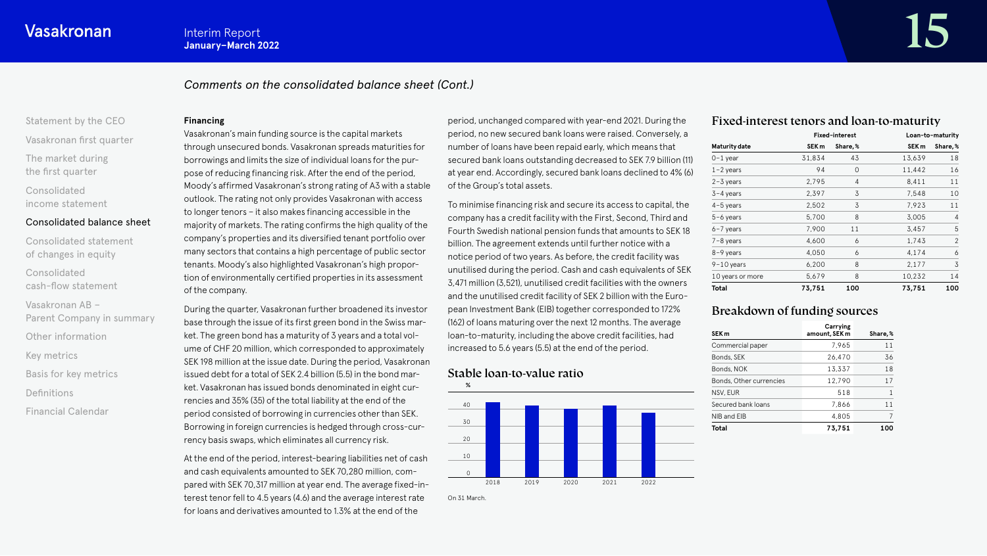# *Comments on the consolidated balance sheet (Cont.)*

# [Statement by the CEO](#page-1-0)

[Vasakronan first quarter](#page-3-0)

[The market during](#page-4-0) the first quarter

Consolidated [income statement](#page-6-0)

#### [Consolidated balance sheet](#page-11-0)

[Consolidated statement](#page-16-0)  of changes in equity

Consolidated [cash-flow statement](#page-17-0)

Vasakronan AB – [Parent Company in summary](#page-20-0)

[Other information](#page-21-0)

[Key metrics](#page-22-0)

[Basis for key metrics](#page-23-0)

[Definitions](#page-24-0)

[Financial Calendar](#page-25-0)

#### **Financing**

Vasakronan's main funding source is the capital markets through unsecured bonds. Vasakronan spreads maturities for borrowings and limits the size of individual loans for the purpose of reducing financing risk. After the end of the period, Moody's affirmed Vasakronan's strong rating of A3 with a stable outlook. The rating not only provides Vasakronan with access to longer tenors – it also makes financing accessible in the majority of markets. The rating confirms the high quality of the company's properties and its diversified tenant portfolio over many sectors that contains a high percentage of public sector tenants. Moody's also highlighted Vasakronan's high proportion of environmentally certified properties in its assessment of the company.

During the quarter, Vasakronan further broadened its investor base through the issue of its first green bond in the Swiss market. The green bond has a maturity of 3 years and a total volume of CHF 20 million, which corresponded to approximately SEK 198 million at the issue date. During the period, Vasakronan issued debt for a total of SEK 2.4 billion (5.5) in the bond market. Vasakronan has issued bonds denominated in eight currencies and 35% (35) of the total liability at the end of the period consisted of borrowing in currencies other than SEK. Borrowing in foreign currencies is hedged through cross-currency basis swaps, which eliminates all currency risk.

At the end of the period, interest-bearing liabilities net of cash and cash equivalents amounted to SEK 70,280 million, compared with SEK 70,317 million at year end. The average fixed-interest tenor fell to 4.5 years (4.6) and the average interest rate for loans and derivatives amounted to 1.3% at the end of the

period, unchanged compared with year-end 2021. During the period, no new secured bank loans were raised. Conversely, a number of loans have been repaid early, which means that secured bank loans outstanding decreased to SEK 7.9 billion (11) at year end. Accordingly, secured bank loans declined to 4% (6) of the Group's total assets.

To minimise financing risk and secure its access to capital, the company has a credit facility with the First, Second, Third and Fourth Swedish national pension funds that amounts to SEK 18 billion. The agreement extends until further notice with a notice period of two years. As before, the credit facility was unutilised during the period. Cash and cash equivalents of SEK 3,471 million (3,521), unutilised credit facilities with the owners and the unutilised credit facility of SEK 2 billion with the European Investment Bank (EIB) together corresponded to 172% (162) of loans maturing over the next 12 months. The average loan-to-maturity, including the above credit facilities, had increased to 5.6 years (5.5) at the end of the period.

# Stable loan-to-value ratio



# Fixed-interest tenors and loan-to-maturity

|                      |                  | Fixed-interest |                  | Loan-to-maturity |
|----------------------|------------------|----------------|------------------|------------------|
| <b>Maturity date</b> | SEK <sub>m</sub> | Share, %       | SEK <sub>m</sub> | Share,%          |
| $0-1$ year           | 31,834           | 43             | 13,639           | 18               |
| $1 - 2$ years        | 94               | 0              | 11,442           | 16               |
| $2 - 3$ years        | 2,795            | 4              | 8,411            | 11               |
| $3-4$ years          | 2,397            | 3              | 7,548            | 10               |
| $4-5$ years          | 2,502            | 3              | 7,923            | 11               |
| $5-6$ years          | 5,700            | 8              | 3,005            | 4                |
| $6 - 7$ years        | 7,900            | 11             | 3,457            | 5                |
| $7 - 8$ years        | 4,600            | 6              | 1,743            | $\mathfrak{p}$   |
| $8-9$ years          | 4,050            | 6              | 4,174            | 6                |
| $9-10$ years         | 6,200            | 8              | 2,177            | 3                |
| 10 years or more     | 5,679            | 8              | 10,232           | 14               |
| <b>Total</b>         | 73,751           | 100            | 73,751           | 100              |

# Breakdown of funding sources

| SEK <sub>m</sub>        | Carrying<br>amount, SEK m | Share,% |
|-------------------------|---------------------------|---------|
| Commercial paper        | 7.965                     | 11      |
| Bonds, SEK              | 26,470                    | 36      |
| Bonds, NOK              | 13,337                    | 18      |
| Bonds, Other currencies | 12.790                    | 17      |
| NSV, EUR                | 518                       | 1       |
| Secured bank loans      | 7.866                     | 11      |
| NIB and EIB             | 4,805                     | 7       |
| <b>Total</b>            | 73.751                    | 100     |

On 31 March.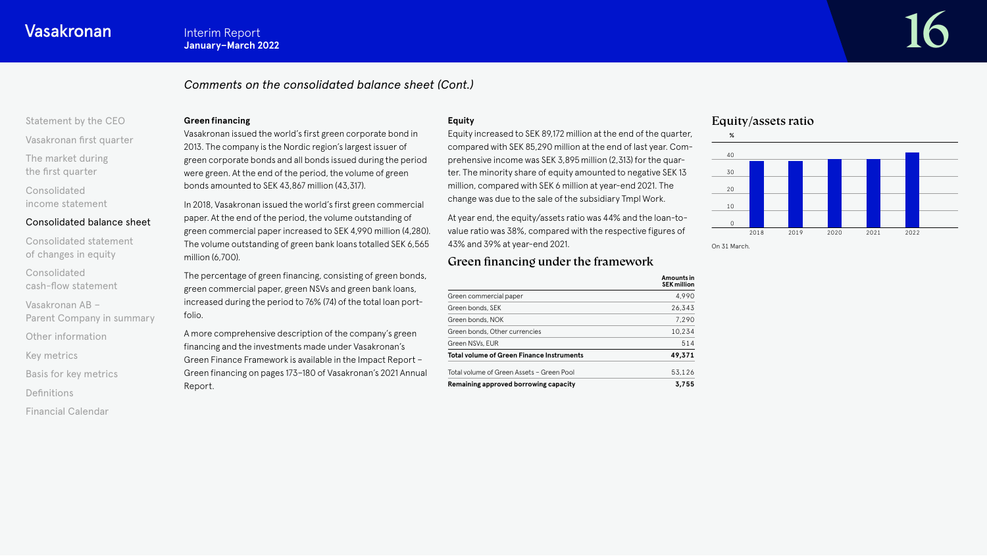# Interim Report<br>January-March 2022

# *Comments on the consolidated balance sheet (Cont.)*

# [Statement by the CEO](#page-1-0)

[Vasakronan first quarter](#page-3-0)

[The market during](#page-4-0) the first quarter

Consolidated [income statement](#page-6-0)

#### [Consolidated balance sheet](#page-11-0)

[Consolidated statement](#page-16-0)  of changes in equity

Consolidated [cash-flow statement](#page-17-0)

Vasakronan AB – [Parent Company in summary](#page-20-0)

[Other information](#page-21-0)

[Key metrics](#page-22-0)

[Basis for key metrics](#page-23-0)

[Definitions](#page-24-0)

[Financial Calendar](#page-25-0)

#### **Green financing**

Vasakronan issued the world's first green corporate bond in 2013. The company is the Nordic region's largest issuer of green corporate bonds and all bonds issued during the period were green. At the end of the period, the volume of green bonds amounted to SEK 43,867 million (43,317).

In 2018, Vasakronan issued the world's first green commercial paper. At the end of the period, the volume outstanding of green commercial paper increased to SEK 4,990 million (4,280). The volume outstanding of green bank loans totalled SEK 6,565 million (6,700).

The percentage of green financing, consisting of green bonds, green commercial paper, green NSVs and green bank loans, increased during the period to 76% (74) of the total loan portfolio.

A more comprehensive description of the company's green financing and the investments made under Vasakronan's Green Finance Framework is available in the Impact Report – Green financing on pages 173–180 of Vasakronan's 2021 Annual Report.

#### **Equity**

Equity increased to SEK 89,172 million at the end of the quarter, compared with SEK 85,290 million at the end of last year. Comprehensive income was SEK 3,895 million (2,313) for the quarter. The minority share of equity amounted to negative SEK 13 million, compared with SEK 6 million at year-end 2021. The change was due to the sale of the subsidiary Tmpl Work.

At year end, the equity/assets ratio was 44% and the loan-tovalue ratio was 38%, compared with the respective figures of 43% and 39% at year-end 2021.

# Green financing under the framework

|                                           | Amounts in<br><b>SEK million</b> |
|-------------------------------------------|----------------------------------|
| Green commercial paper                    | 4,990                            |
| Green bonds, SEK                          | 26.343                           |
| Green bonds. NOK                          | 7,290                            |
| Green bonds, Other currencies             | 10,234                           |
| Green NSVs, EUR                           | 514                              |
| Total volume of Green Finance Instruments | 49,371                           |
| Total volume of Green Assets - Green Pool | 53,126                           |
| Remaining approved borrowing capacity     | 3.755                            |

# Equity/assets ratio



On 31 March.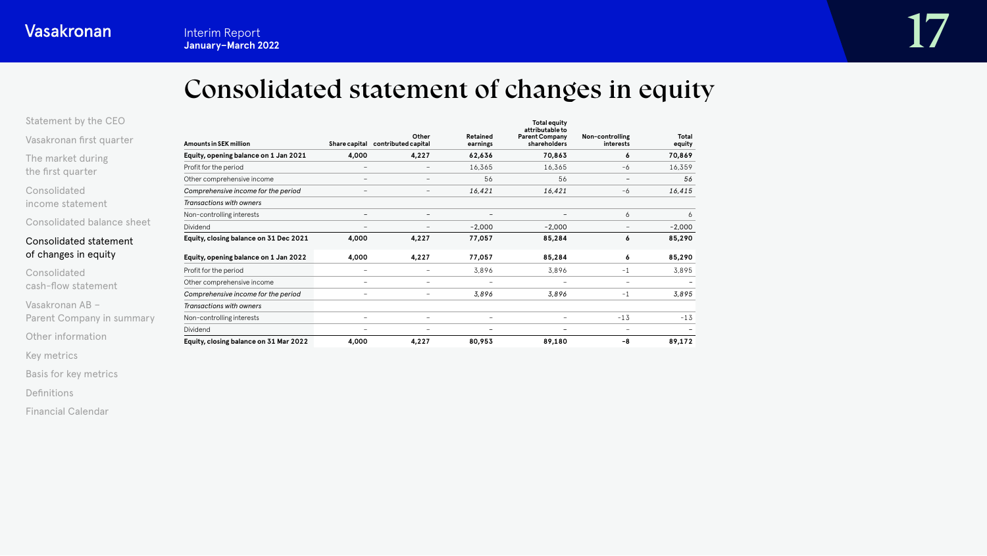# Consolidated statement of changes in equity

<span id="page-16-0"></span>

| Statement by the CEO       |                                        |                          |                                            |                          | <b>Total equity</b><br>attributable to |                              |                        |
|----------------------------|----------------------------------------|--------------------------|--------------------------------------------|--------------------------|----------------------------------------|------------------------------|------------------------|
| Vasakronan first quarter   | <b>Amounts in SEK million</b>          |                          | Other<br>Share capital contributed capital | Retained<br>earnings     | <b>Parent Company</b><br>shareholders  | Non-controlling<br>interests | <b>Total</b><br>equity |
| The market during          | Equity, opening balance on 1 Jan 2021  | 4,000                    | 4,227                                      | 62,636                   | 70,863                                 | 6                            | 70,869                 |
| the first quarter          | Profit for the period                  |                          | $\overline{\phantom{a}}$                   | 16,365                   | 16,365                                 | -6                           | 16,359                 |
|                            | Other comprehensive income             |                          | $\qquad \qquad -$                          | 56                       | 56                                     | $\qquad \qquad -$            | 56                     |
| Consolidated               | Comprehensive income for the period    |                          | $\qquad \qquad -$                          | 16,421                   | 16,421                                 | -6                           | 16,415                 |
| income statement           | Transactions with owners               |                          |                                            |                          |                                        |                              |                        |
|                            | Non-controlling interests              |                          | $\overline{\phantom{0}}$                   | $\overline{\phantom{a}}$ |                                        | 6                            | 6                      |
| Consolidated balance sheet | Dividend                               |                          | $\qquad \qquad -$                          | $-2,000$                 | $-2,000$                               | $\qquad \qquad -$            | $-2,000$               |
| Consolidated statement     | Equity, closing balance on 31 Dec 2021 | 4,000                    | 4,227                                      | 77,057                   | 85,284                                 | 6                            | 85,290                 |
| of changes in equity       | Equity, opening balance on 1 Jan 2022  | 4,000                    | 4,227                                      | 77,057                   | 85,284                                 | 6                            | 85,290                 |
| Consolidated               | Profit for the period                  | $\overline{\phantom{m}}$ | $\overline{\phantom{0}}$                   | 3,896                    | 3,896                                  | $-1$                         | 3,895                  |
| cash-flow statement        | Other comprehensive income             | $\overline{\phantom{m}}$ | $\overline{\phantom{a}}$                   | $\overline{\phantom{a}}$ |                                        | $\overline{\phantom{a}}$     |                        |
|                            | Comprehensive income for the period    |                          | $\overline{\phantom{a}}$                   | 3,896                    | 3,896                                  | $-1$                         | 3,895                  |
| Vasakronan AB -            | <b>Transactions with owners</b>        |                          |                                            |                          |                                        |                              |                        |
| Parent Company in summary  | Non-controlling interests              |                          | $\overline{\phantom{a}}$                   | $\overline{\phantom{a}}$ | $\overline{\phantom{0}}$               | $-13$                        | $-13$                  |
|                            | Dividend                               |                          | $\overline{\phantom{a}}$                   | $\overline{\phantom{a}}$ |                                        | $\overline{\phantom{0}}$     |                        |
| Other information          | Equity, closing balance on 31 Mar 2022 | 4,000                    | 4,227                                      | 80,953                   | 89,180                                 | -8                           | 89,172                 |

[Key metrics](#page-22-0)

[Basis for key metrics](#page-23-0)

[Definitions](#page-24-0)

[Financial Calendar](#page-25-0)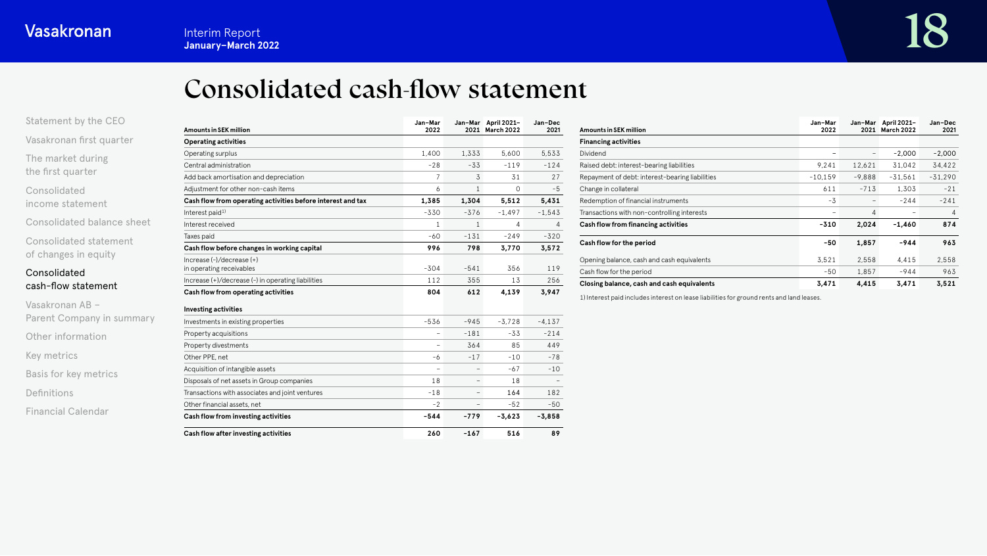# Consolidated cash-flow statement

<span id="page-17-0"></span>

| Statement by the CEO     |
|--------------------------|
| Vasakronan first quarter |
| The market during        |

the first quarter

Consolidated [income statement](#page-6-0)

[Consolidated balance sheet](#page-11-0)

[Consolidated statement](#page-16-0)  of changes in equity

# Consolidated cash-flow statement

Vasakronan AB – [Parent Company in summary](#page-20-0) [Other information](#page-21-0) [Key metrics](#page-22-0) [Basis for key metrics](#page-23-0) [Definitions](#page-24-0) [Financial Calendar](#page-25-0)

| <b>Amounts in SEK million</b>                               | Jan-Mar<br>2022 |                          | Jan-Mar April 2021-<br>2021 March 2022 | Jan-Dec<br>2021 |
|-------------------------------------------------------------|-----------------|--------------------------|----------------------------------------|-----------------|
| <b>Operating activities</b>                                 |                 |                          |                                        |                 |
| Operating surplus                                           | 1,400           | 1,333                    | 5,600                                  | 5,533           |
| Central administration                                      | $-28$           | $-33$                    | $-119$                                 | $-124$          |
| Add back amortisation and depreciation                      | 7               | 3                        | 31                                     | 27              |
| Adjustment for other non-cash items                         | 6               | $\mathbf{1}$             | 0                                      | $-5$            |
| Cash flow from operating activities before interest and tax | 1,385           | 1,304                    | 5,512                                  | 5,431           |
| Interest paid <sup>1)</sup>                                 | $-330$          | $-376$                   | $-1,497$                               | $-1,543$        |
| Interest received                                           | 1               | $\mathbf{1}$             | 4                                      | 4               |
| Taxes paid                                                  | $-60$           | $-131$                   | $-249$                                 | $-320$          |
| Cash flow before changes in working capital                 | 996             | 798                      | 3,770                                  | 3,572           |
| $Increase (-)/decrease (+)$<br>in operating receivables     | $-304$          | $-541$                   | 356                                    | 119             |
| Increase (+)/decrease (-) in operating liabilities          | 112             | 355                      | 13                                     | 256             |
| Cash flow from operating activities                         | 804             | 612                      | 4,139                                  | 3,947           |
| <b>Investing activities</b>                                 |                 |                          |                                        |                 |
| Investments in existing properties                          | $-536$          | $-945$                   | $-3.728$                               | $-4.137$        |
| Property acquisitions                                       | -               | $-181$                   | $-33$                                  | $-214$          |
| Property divestments                                        | $\overline{a}$  | 364                      | 85                                     | 449             |
| Other PPE, net                                              | -6              | $-17$                    | $-10$                                  | $-78$           |
| Acquisition of intangible assets                            | ۳               | $\overline{\phantom{0}}$ | $-67$                                  | $-10$           |
| Disposals of net assets in Group companies                  | 18              |                          | 18                                     |                 |
| Transactions with associates and joint ventures             | $-18$           |                          | 164                                    | 182             |
| Other financial assets, net                                 | $-2$            | $\overline{\phantom{0}}$ | $-52$                                  | $-50$           |
| Cash flow from investing activities                         | $-544$          | $-779$                   | $-3,623$                               | $-3,858$        |
| Cash flow after investing activities                        | 260             | $-167$                   | 516                                    | 89              |

| <b>Amounts in SEK million</b>                   | Jan-Mar<br>2022 | 2021           | Jan-Mar April 2021-<br>March 2022 | Jan-Dec<br>2021 |
|-------------------------------------------------|-----------------|----------------|-----------------------------------|-----------------|
| <b>Financing activities</b>                     |                 |                |                                   |                 |
| Dividend                                        |                 |                | $-2.000$                          | $-2,000$        |
| Raised debt: interest-bearing liabilities       | 9.241           | 12.621         | 31.042                            | 34,422          |
| Repayment of debt: interest-bearing liabilities | $-10,159$       | $-9.888$       | $-31,561$                         | $-31,290$       |
| Change in collateral                            | 611             | $-713$         | 1,303                             | $-21$           |
| Redemption of financial instruments             | -3              |                | $-244$                            | $-241$          |
| Transactions with non-controlling interests     | -               | $\overline{4}$ |                                   | 4               |
| Cash flow from financing activities             | $-310$          | 2,024          | $-1.460$                          | 874             |
| Cash flow for the period                        | $-50$           | 1,857          | $-944$                            | 963             |
| Opening balance, cash and cash equivalents      | 3,521           | 2,558          | 4.415                             | 2,558           |
| Cash flow for the period                        | $-50$           | 1.857          | -944                              | 963             |
| Closing balance, cash and cash equivalents      | 3.471           | 4,415          | 3.471                             | 3.521           |

1) Interest paid includes interest on lease liabilities for ground rents and land leases.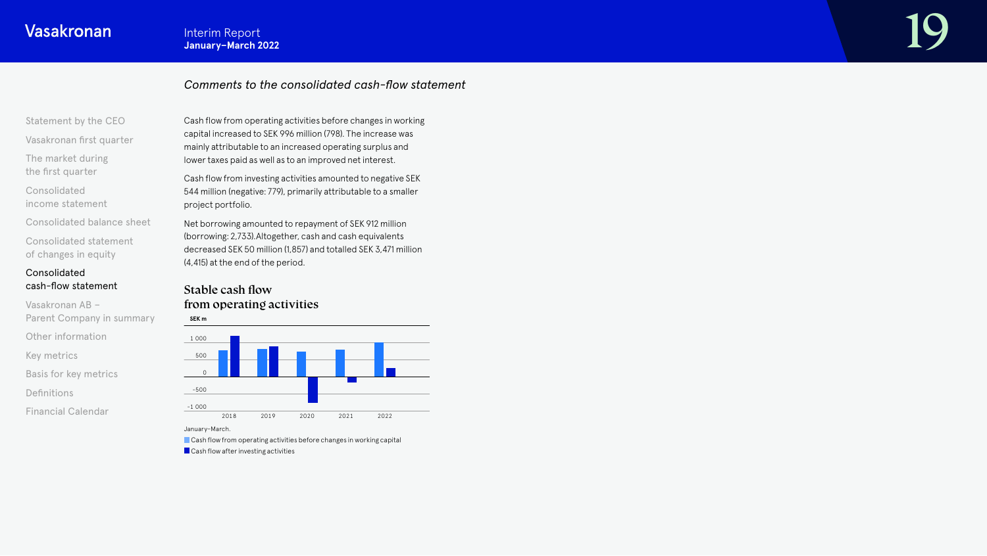# Interim Report<br>January-March 2022

# *Comments to the consolidated cash-flow statement*

[Statement by the CEO](#page-1-0)

[Vasakronan first quarter](#page-3-0)

[The market during](#page-4-0) the first quarter

Consolidated [income statement](#page-6-0)

[Consolidated balance sheet](#page-11-0)

[Consolidated statement](#page-16-0)  of changes in equity

# Consolidated [cash-flow statement](#page-17-0)

Vasakronan AB – [Parent Company in summary](#page-20-0) [Other information](#page-21-0) [Key metrics](#page-22-0)

[Basis for key metrics](#page-23-0)

[Definitions](#page-24-0)

[Financial Calendar](#page-25-0)

Cash flow from operating activities before changes in working capital increased to SEK 996 million (798). The increase was mainly attributable to an increased operating surplus and lower taxes paid as well as to an improved net interest.

Cash flow from investing activities amounted to negative SEK 544 million (negative: 779), primarily attributable to a smaller project portfolio.

Net borrowing amounted to repayment of SEK 912 million (borrowing: 2,733).Altogether, cash and cash equivalents decreased SEK 50 million (1,857) and totalled SEK 3,471 million (4,415) at the end of the period.

# Stable cash flow from operating activities



January–March. Cash flow from operating activities before changes in working capital **Cash flow after investing activities**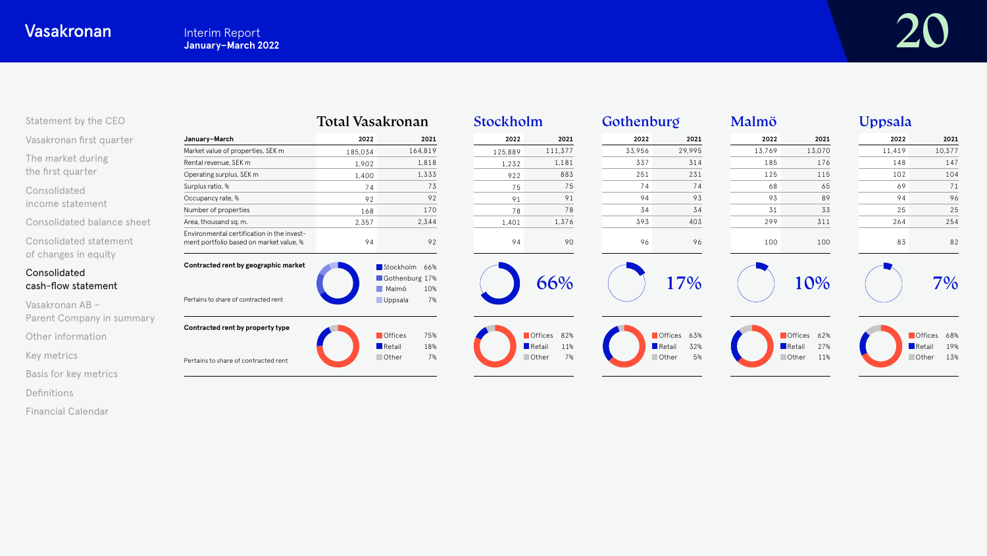| Statement by the CEO                           |                                                                                       | Total Vasakronan |                                                 | Stockholm |                              | Gothenburg |                                             | Malmö  |                                             | Uppsala |                              |
|------------------------------------------------|---------------------------------------------------------------------------------------|------------------|-------------------------------------------------|-----------|------------------------------|------------|---------------------------------------------|--------|---------------------------------------------|---------|------------------------------|
| Vasakronan first quarter                       | January-March                                                                         | 2022             | 2021                                            | 2022      | 2021                         | 2022       | 2021                                        | 2022   | 2021                                        | 2022    | 2021                         |
|                                                | Market value of properties, SEK m                                                     | 185.034          | 164,819                                         | 125,889   | 111,377                      | 33,956     | 29,995                                      | 13,769 | 13,070                                      | 11,419  | 10,377                       |
| The market during                              | Rental revenue, SEK m                                                                 | 1,902            | 1,818                                           | 1,232     | 1,181                        | 337        | 314                                         | 185    | 176                                         | 148     | 147                          |
| the first quarter                              | Operating surplus, SEK m                                                              | 1,400            | 1,333                                           | 922       | 883                          | 251        | 231                                         | 125    | 115                                         | 102     | 104                          |
| Consolidated                                   | Surplus ratio, %                                                                      | 74               | 73                                              | 75        | 75                           | 74         | 74                                          | 68     | 65                                          | 69      | 71                           |
| income statement                               | Occupancy rate, %                                                                     | 92               | 92                                              | 91        | 91                           | 94         | 93                                          | 93     | 89                                          | 94      | 96                           |
|                                                | Number of properties                                                                  | 168              | 170                                             | 78        | 78                           | 34         | 34                                          | 31     | 33                                          | 25      | 25                           |
| Consolidated balance sheet                     | Area, thousand sq. m.                                                                 | 2,357            | 2,344                                           | 1,401     | 1,376                        | 393        | 403                                         | 299    | 311                                         | 264     | 254                          |
| Consolidated statement<br>of changes in equity | Environmental certification in the invest-<br>ment portfolio based on market value, % | 94               | 92                                              | 94        | 90                           | 96         | 96                                          | 100    | 100                                         | 83      | 82                           |
| Consolidated<br>cash-flow statement            | Contracted rent by geographic market                                                  |                  | Stockholm 66%<br>Gothenburg 17%<br>Malmö<br>10% |           | 66%                          |            | 17%                                         |        | 10%                                         |         | 7%                           |
| Vasakronan AB -<br>Parent Company in summary   | Pertains to share of contracted rent                                                  |                  | <b>Uppsala</b><br>7%                            |           |                              |            |                                             |        |                                             |         |                              |
| Other information                              | Contracted rent by property type                                                      |                  | <b>Offices</b><br>75%<br>Retail<br>18%          |           | Offices 82%<br>Retail<br>11% |            | Offices 63%<br>$\blacksquare$ Retail<br>32% |        | Offices 62%<br>$\blacksquare$ Retail<br>27% |         | Offices 68%<br>19%<br>Retail |
| Key metrics                                    | Pertains to share of contracted rent                                                  |                  | Other<br>7%                                     |           | Other<br>7%                  |            | Other<br>5%                                 |        | 11%<br><b>Other</b>                         |         | 13%<br><b>Other</b>          |
| Basis for key metrics                          |                                                                                       |                  |                                                 |           |                              |            |                                             |        |                                             |         |                              |

[Definitions](#page-24-0)

[Financial Calendar](#page-25-0)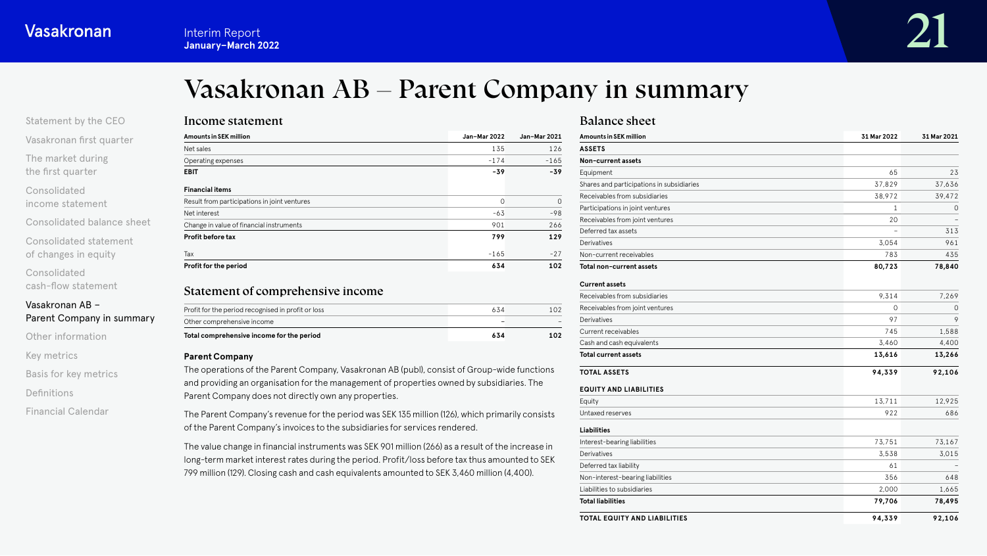# Vasakronan AB – Parent Company in summary

# <span id="page-20-0"></span>[Statement by the CEO](#page-1-0)

[Vasakronan first quarter](#page-3-0)

[The market during](#page-4-0) the first quarter

Consolidated [income statement](#page-6-0)

[Consolidated balance sheet](#page-11-0)

[Consolidated statement](#page-16-0)  of changes in equity

Consolidated [cash-flow statement](#page-17-0)

### Vasakronan AB – Parent Company in summary

[Other information](#page-21-0)

[Key metrics](#page-22-0)

[Basis for key metrics](#page-23-0)

[Definitions](#page-24-0)

[Financial Calendar](#page-25-0)

| <b>Amounts in SEK million</b>                | Jan-Mar 2022 | Jan-Mar 2021 |
|----------------------------------------------|--------------|--------------|
| Net sales                                    | 135          | 126          |
| Operating expenses                           | $-174$       | $-165$       |
| <b>EBIT</b>                                  | $-39$        | $-39$        |
| <b>Financial items</b>                       |              |              |
| Result from participations in joint ventures | 0            | 0            |
| Net interest                                 | $-63$        | $-98$        |
| Change in value of financial instruments     | 901          | 266          |
| Profit before tax                            | 799          | 129          |
| Tax                                          | $-165$       | $-27$        |
| Profit for the period                        | 634          | 102          |

# Statement of comprehensive income

| Total comprehensive income for the period          | 634 | 102    |
|----------------------------------------------------|-----|--------|
| Other comprehensive income                         |     | $\sim$ |
| Profit for the period recognised in profit or loss | 634 | 1 N 2  |

#### **Parent Company**

The operations of the Parent Company, Vasakronan AB (publ), consist of Group-wide functions and providing an organisation for the management of properties owned by subsidiaries. The Parent Company does not directly own any properties.

The Parent Company's revenue for the period was SEK 135 million (126), which primarily consists of the Parent Company's invoices to the subsidiaries for services rendered.

The value change in financial instruments was SEK 901 million (266) as a result of the increase in long-term market interest rates during the period. Profit/loss before tax thus amounted to SEK 799 million (129). Closing cash and cash equivalents amounted to SEK 3,460 million (4,400).

### Balance sheet

| Amounts in SEK million                    | 31 Mar 2022 | 31 Mar 2021 |
|-------------------------------------------|-------------|-------------|
| <b>ASSETS</b>                             |             |             |
| Non-current assets                        |             |             |
| Equipment                                 | 65          | 23          |
| Shares and participations in subsidiaries | 37,829      | 37,636      |
| Receivables from subsidiaries             | 38,972      | 39,472      |
| Participations in joint ventures          | 1           | 0           |
| Receivables from joint ventures           | 20          |             |
| Deferred tax assets                       |             | 313         |
| Derivatives                               | 3,054       | 961         |
| Non-current receivables                   | 783         | 435         |
| Total non-current assets                  | 80,723      | 78,840      |
| <b>Current assets</b>                     |             |             |
| Receivables from subsidiaries             | 9,314       | 7,269       |
| Receivables from joint ventures           | $\Omega$    | 0           |
| Derivatives                               | 97          | 9           |
| <b>Current receivables</b>                | 745         | 1,588       |
| Cash and cash equivalents                 | 3,460       | 4,400       |
| <b>Total current assets</b>               | 13,616      | 13,266      |
| <b>TOTAL ASSETS</b>                       | 94,339      | 92,106      |
| <b>EQUITY AND LIABILITIES</b>             |             |             |
| Equity                                    | 13,711      | 12,925      |
| Untaxed reserves                          | 922         | 686         |
| <b>Liabilities</b>                        |             |             |
| Interest-bearing liabilities              | 73,751      | 73,167      |
| Derivatives                               | 3.538       | 3,015       |
| Deferred tax liability                    | 61          |             |
| Non-interest-bearing liabilities          | 356         | 648         |
| Liabilities to subsidiaries               | 2,000       | 1,665       |
| <b>Total liabilities</b>                  | 79,706      | 78,495      |
| TOTAL EQUITY AND LIABILITIES              | 94,339      | 92,106      |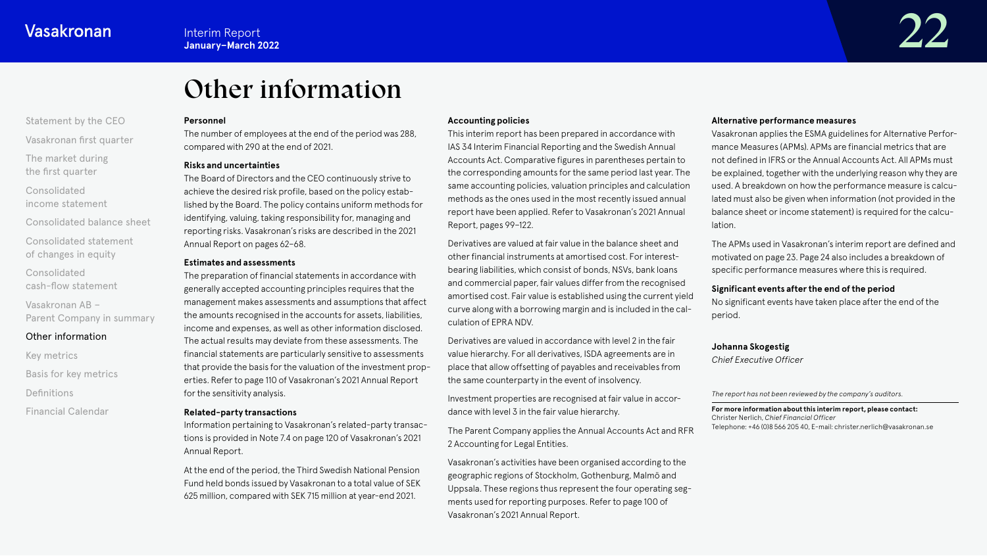# Other information

### <span id="page-21-0"></span>[Statement by the CEO](#page-1-0)

[Vasakronan first quarter](#page-3-0)

[The market during](#page-4-0) the first quarter

Consolidated [income statement](#page-6-0)

[Consolidated balance sheet](#page-11-0)

[Consolidated statement](#page-16-0)  of changes in equity

Consolidated [cash-flow statement](#page-17-0)

Vasakronan AB – [Parent Company in summary](#page-20-0)

# Other information

[Key metrics](#page-22-0)

[Basis for key metrics](#page-23-0)

[Definitions](#page-24-0)

[Financial Calendar](#page-25-0)

#### **Personnel**

The number of employees at the end of the period was 288, compared with 290 at the end of 2021.

#### **Risks and uncertainties**

The Board of Directors and the CEO continuously strive to achieve the desired risk profile, based on the policy established by the Board. The policy contains uniform methods for identifying, valuing, taking responsibility for, managing and reporting risks. Vasakronan's risks are described in the 2021 Annual Report on pages 62–68.

#### **Estimates and assessments**

The preparation of financial statements in accordance with generally accepted accounting principles requires that the management makes assessments and assumptions that affect the amounts recognised in the accounts for assets, liabilities, income and expenses, as well as other information disclosed. The actual results may deviate from these assessments. The financial statements are particularly sensitive to assessments that provide the basis for the valuation of the investment properties. Refer to page 110 of Vasakronan's 2021 Annual Report for the sensitivity analysis.

#### **Related-party transactions**

Information pertaining to Vasakronan's related-party transactions is provided in Note 7.4 on page 120 of Vasakronan's 2021 Annual Report.

At the end of the period, the Third Swedish National Pension Fund held bonds issued by Vasakronan to a total value of SEK 625 million, compared with SEK 715 million at year-end 2021.

#### **Accounting policies**

This interim report has been prepared in accordance with IAS 34 Interim Financial Reporting and the Swedish Annual Accounts Act. Comparative figures in parentheses pertain to the corresponding amounts for the same period last year. The same accounting policies, valuation principles and calculation methods as the ones used in the most recently issued annual report have been applied. Refer to Vasakronan's 2021 Annual Report, pages 99–122.

Derivatives are valued at fair value in the balance sheet and other financial instruments at amortised cost. For interestbearing liabilities, which consist of bonds, NSVs, bank loans and commercial paper, fair values differ from the recognised amortised cost. Fair value is established using the current yield curve along with a borrowing margin and is included in the calculation of EPRA NDV.

Derivatives are valued in accordance with level 2 in the fair value hierarchy. For all derivatives, ISDA agreements are in place that allow offsetting of payables and receivables from the same counterparty in the event of insolvency.

Investment properties are recognised at fair value in accordance with level 3 in the fair value hierarchy.

The Parent Company applies the Annual Accounts Act and RFR 2 Accounting for Legal Entities.

Vasakronan's activities have been organised according to the geographic regions of Stockholm, Gothenburg, Malmö and Uppsala. These regions thus represent the four operating segments used for reporting purposes. Refer to page 100 of Vasakronan's 2021 Annual Report.

#### **Alternative performance measures**

Vasakronan applies the ESMA guidelines for Alternative Performance Measures (APMs). APMs are financial metrics that are not defined in IFRS or the Annual Accounts Act. All APMs must be explained, together with the underlying reason why they are used. A breakdown on how the performance measure is calculated must also be given when information (not provided in the balance sheet or income statement) is required for the calculation.

The APMs used in Vasakronan's interim report are defined and motivated on page 23. Page 24 also includes a breakdown of specific performance measures where this is required.

#### **Significant events after the end of the period**

No significant events have taken place after the end of the period.

#### **Johanna Skogestig**

*Chief Executive Officer*

#### *The report has not been reviewed by the company's auditors.*

**For more information about this interim report, please contact:** Christer Nerlich, *Chief Financial Officer* Telephone: +46 (0)8 566 205 40, E-mail: christer.nerlich@vasakronan.se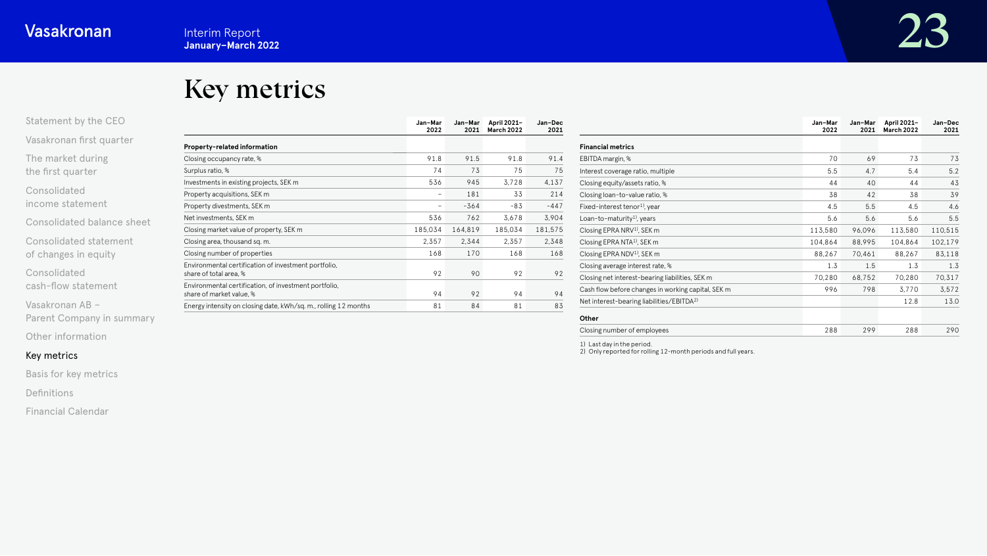# Key metrics

<span id="page-22-0"></span>

| Statement by the CEO     |  |
|--------------------------|--|
| Vasakronan first quarter |  |

[The market during](#page-4-0) the first quarter

Consolidated [income statement](#page-6-0)

[Consolidated balance sheet](#page-11-0)

[Consolidated statement](#page-16-0)  of changes in equity

Consolidated [cash-flow statement](#page-17-0)

Vasakronan AB – [Parent Company in summary](#page-20-0)

[Other information](#page-21-0)

# Key metrics

[Basis for key metrics](#page-23-0)

[Definitions](#page-24-0)

[Financial Calendar](#page-25-0)

|                                                                                   | Jan-Mar<br>2022 | Jan-Mar<br>2021 | April 2021-<br><b>March 2022</b> | Jan-Dec<br>2021 |
|-----------------------------------------------------------------------------------|-----------------|-----------------|----------------------------------|-----------------|
| Property-related information                                                      |                 |                 |                                  |                 |
| Closing occupancy rate, %                                                         | 91.8            | 91.5            | 91.8                             | 91.4            |
| Surplus ratio, %                                                                  | 74              | 73              | 75                               | 75              |
| Investments in existing projects, SEK m                                           | 536             | 945             | 3,728                            | 4,137           |
| Property acquisitions, SEK m                                                      | -               | 181             | 33                               | 214             |
| Property divestments, SEK m                                                       | -               | $-364$          | $-83$                            | $-447$          |
| Net investments, SEK m                                                            | 536             | 762             | 3,678                            | 3,904           |
| Closing market value of property, SEK m                                           | 185,034         | 164,819         | 185,034                          | 181,575         |
| Closing area, thousand sq. m.                                                     | 2.357           | 2.344           | 2.357                            | 2,348           |
| Closing number of properties                                                      | 168             | 170             | 168                              | 168             |
| Environmental certification of investment portfolio,<br>share of total area, %    | 92              | 90              | 92                               | 92              |
| Environmental certification, of investment portfolio,<br>share of market value. % | 94              | 92              | 94                               | 94              |
| Energy intensity on closing date, kWh/sq. m., rolling 12 months                   | 81              | 84              | 81                               | 83              |

**Jan–Mar** 

|                                                       | Jan-Mar<br>2022 | Jan-Mar<br>2021 | April 2021-<br><b>March 2022</b> | Jan-Dec<br>2021 |
|-------------------------------------------------------|-----------------|-----------------|----------------------------------|-----------------|
| <b>Financial metrics</b>                              |                 |                 |                                  |                 |
| EBITDA margin, %                                      | 70              | 69              | 73                               | 73              |
| Interest coverage ratio, multiple                     | 5.5             | 4.7             | 5.4                              | 5.2             |
| Closing equity/assets ratio, %                        | 44              | 40              | 44                               | 43              |
| Closing loan-to-value ratio, %                        | 38              | 42              | 38                               | 39              |
| Fixed-interest tenor <sup>1)</sup> , year             | 4.5             | 5.5             | 4.5                              | 4.6             |
| Loan-to-maturity <sup>1</sup> , years                 | 5.6             | 5.6             | 5.6                              | 5.5             |
| Closing EPRA NRV <sup>1</sup> , SEK m                 | 113,580         | 96,096          | 113,580                          | 110,515         |
| Closing EPRA NTA <sup>1)</sup> , SEK m                | 104,864         | 88,995          | 104,864                          | 102,179         |
| Closing EPRA NDV <sup>1)</sup> , SEK m                | 88,267          | 70,461          | 88,267                           | 83,118          |
| Closing average interest rate, %                      | 1.3             | 1.5             | 1.3                              | 1.3             |
| Closing net interest-bearing liabilities, SEK m       | 70,280          | 68,752          | 70,280                           | 70,317          |
| Cash flow before changes in working capital, SEK m    | 996             | 798             | 3,770                            | 3,572           |
| Net interest-bearing liabilities/EBITDA <sup>2)</sup> |                 |                 | 12.8                             | 13.0            |
| Other                                                 |                 |                 |                                  |                 |
| Closing number of employees                           | 288             | 299             | 288                              | 290             |

**Jan–Dec** 

1) Last day in the period. 2) Only reported for rolling 12-month periods and full years.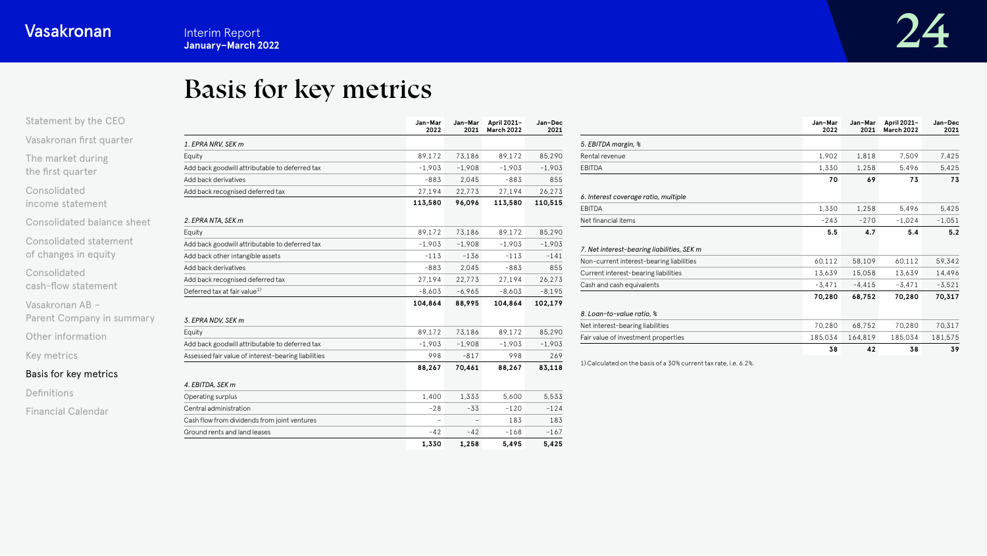# Basis for key metrics

<span id="page-23-0"></span>

| Statement by the CEO       |                                                     | Jan-Mar<br>2022 | Jan-Mar<br>2021 | April 2021-<br>March 2022 | Jan-Dec<br>2021 |                                                                  | Jan-Mar<br>2022 |          | Jan-Mar April 2021-<br>2021 March 2022 | Jan-Dec<br>2021 |
|----------------------------|-----------------------------------------------------|-----------------|-----------------|---------------------------|-----------------|------------------------------------------------------------------|-----------------|----------|----------------------------------------|-----------------|
| Vasakronan first quarter   | 1. EPRA NRV. SEK m                                  |                 |                 |                           |                 | 5. EBITDA margin, %                                              |                 |          |                                        |                 |
| The market during          | Equity                                              | 89,172          | 73,186          | 89,172                    | 85,290          | Rental revenue                                                   | 1,902           | 1,818    | 7,509                                  | 7,425           |
| the first quarter          | Add back goodwill attributable to deferred tax      | $-1,903$        | $-1,908$        | $-1,903$                  | $-1,903$        | EBITDA                                                           | 1,330           | 1,258    | 5,496                                  | 5,425           |
|                            | Add back derivatives                                | $-883$          | 2,045           | $-883$                    | 855             |                                                                  | 70              | 69       | 73                                     | 73              |
| Consolidated               | Add back recognised deferred tax                    | 27,194          | 22,773          | 27,194                    | 26,273          | 6. Interest coverage ratio, multiple                             |                 |          |                                        |                 |
| income statement           |                                                     | 113,580         | 96,096          | 113,580                   | 110,515         | EBITDA                                                           | 1,330           | 1,258    | 5,496                                  | 5,425           |
| Consolidated balance sheet | 2. EPRA NTA, SEK m                                  |                 |                 |                           |                 | Net financial items                                              | $-243$          | $-270$   | $-1.024$                               | $-1,051$        |
|                            | Equity                                              | 89,172          | 73,186          | 89,172                    | 85,290          |                                                                  | 5.5             | 4.7      | 5.4                                    | 5.2             |
| Consolidated statement     | Add back goodwill attributable to deferred tax      | $-1,903$        | $-1,908$        | $-1,903$                  | $-1,903$        | 7. Net interest-bearing liabilities, SEK m                       |                 |          |                                        |                 |
| of changes in equity       | Add back other intangible assets                    | $-113$          | $-136$          | $-113$                    | $-141$          | Non-current interest-bearing liabilities                         | 60,112          | 58,109   | 60,112                                 | 59,342          |
| Consolidated               | Add back derivatives                                | $-883$          | 2,045           | $-883$                    | 855             | Current interest-bearing liabilities                             | 13,639          | 15,058   | 13,639                                 | 14,496          |
|                            | Add back recognised deferred tax                    | 27,194          | 22,773          | 27,194                    | 26,273          | Cash and cash equivalents                                        | $-3,471$        | $-4,415$ | $-3,471$                               | $-3,521$        |
| cash-flow statement        | Deferred tax at fair value <sup>1)</sup>            | $-8,603$        | $-6,965$        | $-8,603$                  | $-8,195$        |                                                                  | 70,280          | 68,752   | 70,280                                 | 70,317          |
| Vasakronan AB -            |                                                     | 104,864         | 88,995          | 104,864                   | 102,179         |                                                                  |                 |          |                                        |                 |
| Parent Company in summary  | 3. EPRA NDV. SEK m                                  |                 |                 |                           |                 | 8. Loan-to-value ratio, %                                        |                 |          |                                        |                 |
|                            | Equity                                              | 89,172          | 73,186          | 89,172                    | 85,290          | Net interest-bearing liabilities                                 | 70,280          | 68,752   | 70,280                                 | 70,317          |
| Other information          | Add back goodwill attributable to deferred tax      | $-1,903$        | $-1,908$        | $-1,903$                  | $-1,903$        | Fair value of investment properties                              | 185,034         | 164,819  | 185,034                                | 181,575         |
| Key metrics                | Assessed fair value of interest-bearing liabilities | 998             | $-817$          | 998                       | 269             |                                                                  | 38              | 42       | 38                                     | 39              |
| Basis for key metrics      |                                                     | 88,267          | 70,461          | 88,267                    | 83,118          | 1) Calculated on the basis of a 30% current tax rate, i.e. 6.2%. |                 |          |                                        |                 |
|                            | 4. EBITDA, SEK m                                    |                 |                 |                           |                 |                                                                  |                 |          |                                        |                 |
| Definitions                | Operating surplus                                   | 1,400           | 1,333           | 5,600                     | 5.533           |                                                                  |                 |          |                                        |                 |
| <b>Financial Calendar</b>  | Central administration                              | $-28$           | $-33$           | $-120$                    | $-124$          |                                                                  |                 |          |                                        |                 |
|                            | Cash flow from dividends from joint ventures        |                 | $\sim$          | 183                       | 183             |                                                                  |                 |          |                                        |                 |
|                            | Ground rents and land leases                        | $-42$           | $-42$           | $-168$                    | $-167$          |                                                                  |                 |          |                                        |                 |
|                            |                                                     | 1,330           | 1,258           | 5,495                     | 5,425           |                                                                  |                 |          |                                        |                 |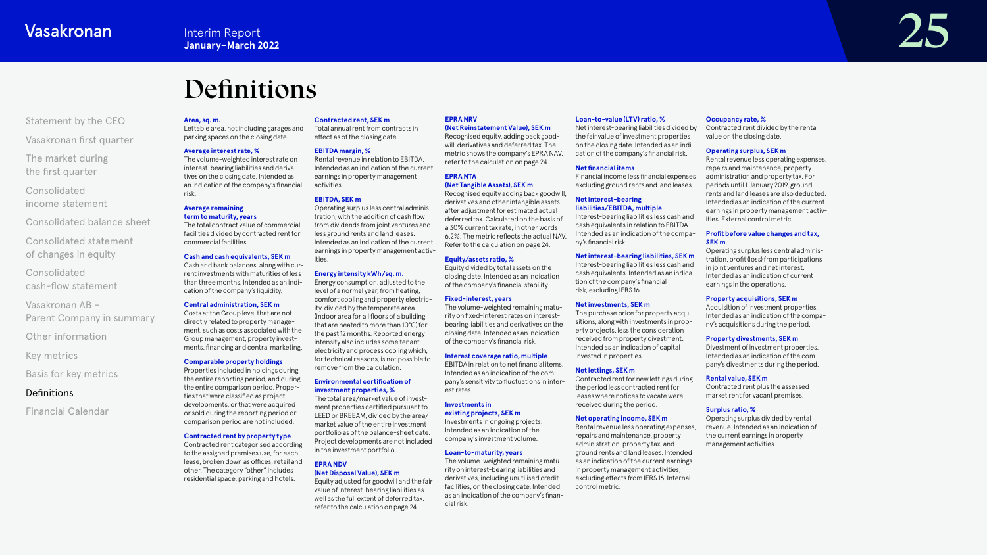# Definitions

#### <span id="page-24-0"></span>[Statement by the CEO](#page-1-0)

[Vasakronan first quarter](#page-3-0)

[The market during](#page-4-0) the first quarter

Consolidated [income statement](#page-6-0)

[Consolidated balance sheet](#page-11-0)

[Consolidated statement](#page-16-0)  of changes in equity

Consolidated [cash-flow statement](#page-17-0)

Vasakronan AB – [Parent Company in summary](#page-20-0)

[Other information](#page-21-0)

[Key metrics](#page-22-0)

[Basis for key metrics](#page-23-0)

### **Definitions**

[Financial Calendar](#page-25-0)

#### **Area, sq. m.**

Lettable area, not including garages and parking spaces on the closing date. Total annual rent from contracts in

#### **Average interest rate, %**

The volume-weighted interest rate on interest-bearing liabilities and derivatives on the closing date. Intended as an indication of the company's financial risk.

#### **Average remaining term to maturity, years**

The total contract value of commercial facilities divided by contracted rent for commercial facilities.

#### **Cash and cash equivalents, SEK m**

Cash and bank balances, along with current investments with maturities of less than three months. Intended as an indication of the company's liquidity.

#### **Central administration, SEK m**

Costs at the Group level that are not directly related to property management, such as costs associated with the Group management, property investments, financing and central marketing.

#### **Comparable property holdings**

Properties included in holdings during the entire reporting period, and during the entire comparison period. Properties that were classified as project developments, or that were acquired

or sold during the reporting period or comparison period are not included. **Contracted rent by property type**

#### Contracted rent categorised according to the assigned premises use, for each lease, broken down as offices, retail and other. The category "other" includes residential space, parking and hotels.

**Contracted rent, SEK m**

# effect as of the closing date.

**EBITDA margin, %** Rental revenue in relation to EBITDA. Intended as an indication of the current earnings in property management activities.

#### **EBITDA, SEK m**

Operating surplus less central administration, with the addition of cash flow from dividends from joint ventures and less ground rents and land leases. Intended as an indication of the current earnings in property management activities.

**Energy intensity kWh/sq. m.** Energy consumption, adjusted to the level of a normal year, from heating, comfort cooling and property electricity, divided by the temperate area  $($ indoor area for all floors of a building that are heated to more than 10°C) for the past 12 months. Reported energy intensity also includes some tenant electricity and process cooling which, for technical reasons, is not possible to remove from the calculation.

#### **Environmental certification of investment properties, %**

The total area/market value of investment properties certified pursuant to LEED or BREEAM, divided by the area/ market value of the entire investment portfolio as of the balance-sheet date. Project developments are not included in the investment portfolio.

#### **EPRA NDV (Net Disposal Value), SEK m**

Equity adjusted for goodwill and the fair value of interest-bearing liabilities as well as the full extent of deferred tax, refer to the calculation on page 24.

#### **Loan-to-value (LTV) ratio, %**

**EPRA NRV** 

**EPRA NTA** 

est rates. **Investments in existing projects, SEK m** Investments in ongoing projects. Intended as an indication of the company's investment volume. **Loan-to-maturity, years**

cial risk.

**(Net Tangible Assets), SEK m** Recognised equity adding back goodwill, derivatives and other intangible assets after adjustment for estimated actual deferred tax. Calculated on the basis of a 30% current tax rate, in other words 6.2%. The metric reflects the actual NAV.

**Equity/assets ratio, %**

pany's sensitivity to fluctuations in inter-

The volume-weighted remaining maturity on interest-bearing liabilities and derivatives, including unutilised credit facilities, on the closing date. Intended as an indication of the company's finan-

**(Net Reinstatement Value), SEK m** Recognised equity, adding back goodwill, derivatives and deferred tax. The metric shows the company's EPRA NAV, refer to the calculation on page 24. Net interest-bearing liabilities divided by the fair value of investment properties on the closing date. Intended as an indication of the company's financial risk.

#### **Net nancial items**

Financial income less financial expenses excluding ground rents and land leases.

#### **Net interest-bearing liabilities/EBITDA, multiple**

Interest-bearing liabilities less cash and cash equivalents in relation to EBITDA. Intended as an indication of the company's financial risk.

#### **Net interest-bearing liabilities, SEK m**

Interest-bearing liabilities less cash and cash equivalents. Intended as an indication of the company's financial risk, excluding IFRS 16.

The purchase price for property acquisitions, along with investments in property projects, less the consideration received from property divestment. Intended as an indication of capital invested in properties.

the period less contracted rent for leases where notices to vacate were received during the period.

#### **Net operating income, SEK m**

Rental revenue less operating expenses, repairs and maintenance, property administration, property tax, and ground rents and land leases. Intended as an indication of the current earnings in property management activities, excluding effects from IFRS 16. Internal control metric.

#### **Occupancy rate, %**

Contracted rent divided by the rental value on the closing date.

#### **Operating surplus, SEK m**

Rental revenue less operating expenses, repairs and maintenance, property administration and property tax. For periods until 1 January 2019, ground rents and land leases are also deducted. Intended as an indication of the current earnings in property management activities. External control metric.

#### **Profit before value changes and tax. SEK m**

Operating surplus less central administration, profit (loss) from participations in joint ventures and net interest. Intended as an indication of current earnings in the operations.

#### **Property acquisitions, SEK m**

Acquisition of investment properties. Intended as an indication of the company's acquisitions during the period.

#### **Property divestments, SEK m**

Divestment of investment properties. Intended as an indication of the company's divestments during the period.

#### **Rental value, SEK m**

Contracted rent plus the assessed market rent for vacant premises.

#### **Surplus ratio, %**

Operating surplus divided by rental revenue. Intended as an indication of the current earnings in property management activities.

**Interim Report**<br>January–March 2022<br>*January–March* 2022

# Refer to the calculation on page 24. Equity divided by total assets on the

**Interest coverage ratio, multiple** EBITDA in relation to net financial items.

Intended as an indication of the com-**Net lettings, SEK m**

Contracted rent for new lettings during

**Net investments, SEK m**

closing date. Intended as an indication of the company's financial stability. **Fixed-interest, years** The volume-weighted remaining maturity on fixed-interest rates on interest-

bearing liabilities and derivatives on the

closing date. Intended as an indication of the company's financial risk.